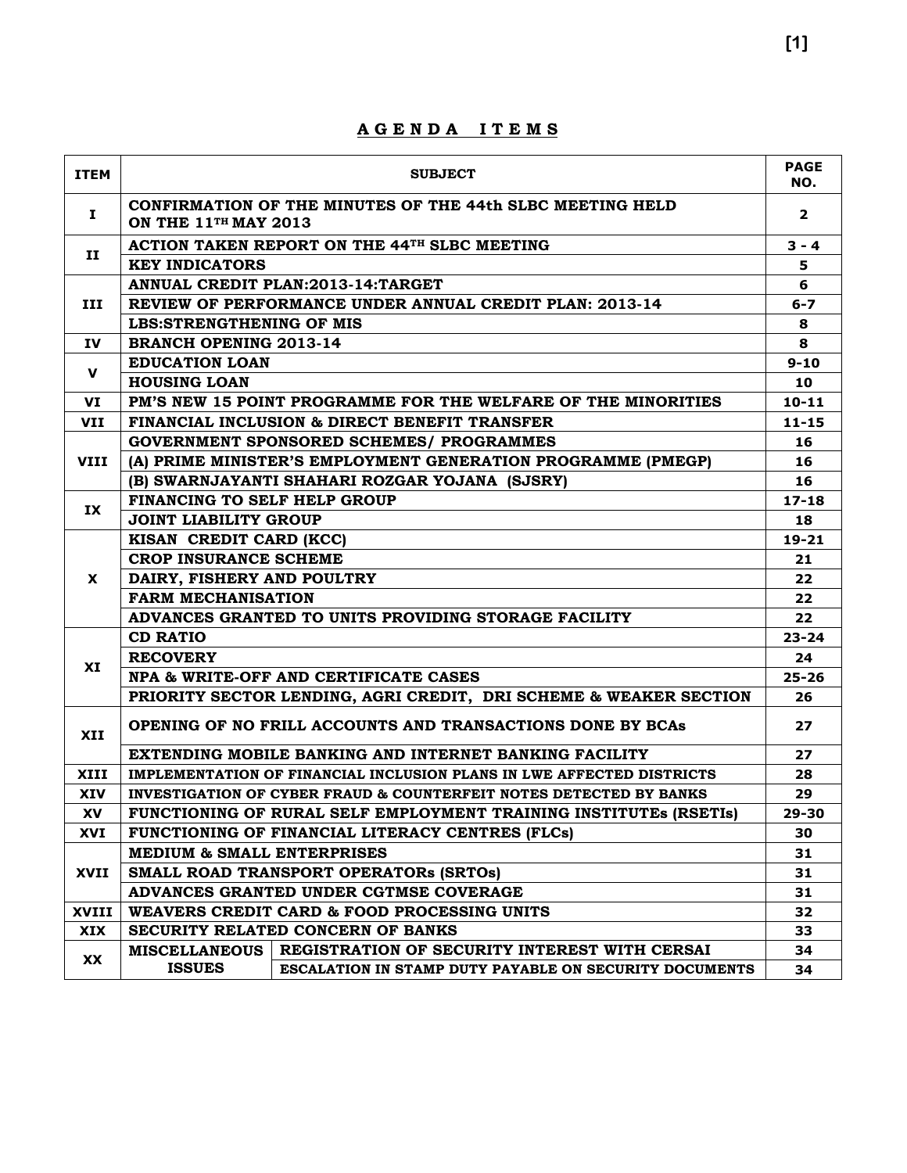| <b>ITEM</b> | <b>SUBJECT</b>                                                                           | <b>PAGE</b><br>NO. |  |  |  |  |  |  |  |
|-------------|------------------------------------------------------------------------------------------|--------------------|--|--|--|--|--|--|--|
| Ι.          | CONFIRMATION OF THE MINUTES OF THE 44th SLBC MEETING HELD<br><b>ON THE 11TH MAY 2013</b> |                    |  |  |  |  |  |  |  |
|             | ACTION TAKEN REPORT ON THE 44TH SLBC MEETING<br>п<br><b>KEY INDICATORS</b>               |                    |  |  |  |  |  |  |  |
|             |                                                                                          |                    |  |  |  |  |  |  |  |
|             | ANNUAL CREDIT PLAN: 2013-14: TARGET                                                      | 6                  |  |  |  |  |  |  |  |
| III         | REVIEW OF PERFORMANCE UNDER ANNUAL CREDIT PLAN: 2013-14                                  | $6 - 7$            |  |  |  |  |  |  |  |
|             | <b>LBS:STRENGTHENING OF MIS</b>                                                          | 8                  |  |  |  |  |  |  |  |
| IV          | <b>BRANCH OPENING 2013-14</b>                                                            | 8                  |  |  |  |  |  |  |  |
| v           | <b>EDUCATION LOAN</b>                                                                    | $9 - 10$           |  |  |  |  |  |  |  |
|             | <b>HOUSING LOAN</b>                                                                      | 10                 |  |  |  |  |  |  |  |
| VI          | PM'S NEW 15 POINT PROGRAMME FOR THE WELFARE OF THE MINORITIES                            | $10 - 11$          |  |  |  |  |  |  |  |
| VII         | FINANCIAL INCLUSION & DIRECT BENEFIT TRANSFER                                            | $11 - 15$          |  |  |  |  |  |  |  |
|             | <b>GOVERNMENT SPONSORED SCHEMES/ PROGRAMMES</b>                                          | 16                 |  |  |  |  |  |  |  |
| <b>VIII</b> | (A) PRIME MINISTER'S EMPLOYMENT GENERATION PROGRAMME (PMEGP)                             | 16                 |  |  |  |  |  |  |  |
|             | (B) SWARNJAYANTI SHAHARI ROZGAR YOJANA (SJSRY)                                           | 16                 |  |  |  |  |  |  |  |
|             | <b>FINANCING TO SELF HELP GROUP</b>                                                      | $17 - 18$          |  |  |  |  |  |  |  |
| IX          | <b>JOINT LIABILITY GROUP</b>                                                             | 18                 |  |  |  |  |  |  |  |
|             | KISAN CREDIT CARD (KCC)                                                                  | $19 - 21$          |  |  |  |  |  |  |  |
|             | <b>CROP INSURANCE SCHEME</b>                                                             |                    |  |  |  |  |  |  |  |
| <b>X</b>    | DAIRY, FISHERY AND POULTRY                                                               |                    |  |  |  |  |  |  |  |
|             | <b>FARM MECHANISATION</b>                                                                | 22                 |  |  |  |  |  |  |  |
|             | ADVANCES GRANTED TO UNITS PROVIDING STORAGE FACILITY                                     | 22                 |  |  |  |  |  |  |  |
|             | <b>CD RATIO</b>                                                                          | $23 - 24$          |  |  |  |  |  |  |  |
|             | <b>RECOVERY</b>                                                                          | 24                 |  |  |  |  |  |  |  |
| XI          | NPA & WRITE-OFF AND CERTIFICATE CASES                                                    | $25 - 26$          |  |  |  |  |  |  |  |
|             | PRIORITY SECTOR LENDING, AGRI CREDIT, DRI SCHEME & WEAKER SECTION                        | 26                 |  |  |  |  |  |  |  |
| <b>XII</b>  | OPENING OF NO FRILL ACCOUNTS AND TRANSACTIONS DONE BY BCAs                               | 27                 |  |  |  |  |  |  |  |
|             | EXTENDING MOBILE BANKING AND INTERNET BANKING FACILITY                                   | 27                 |  |  |  |  |  |  |  |
| XIII        | IMPLEMENTATION OF FINANCIAL INCLUSION PLANS IN LWE AFFECTED DISTRICTS                    | 28                 |  |  |  |  |  |  |  |
| XIV         | <b>INVESTIGATION OF CYBER FRAUD &amp; COUNTERFEIT NOTES DETECTED BY BANKS</b>            | 29                 |  |  |  |  |  |  |  |
| XV          | FUNCTIONING OF RURAL SELF EMPLOYMENT TRAINING INSTITUTES (RSETIS)                        | 29-30              |  |  |  |  |  |  |  |
| XVI         | FUNCTIONING OF FINANCIAL LITERACY CENTRES (FLCs)                                         | 30                 |  |  |  |  |  |  |  |
|             | <b>MEDIUM &amp; SMALL ENTERPRISES</b>                                                    | 31                 |  |  |  |  |  |  |  |
| XVII        | SMALL ROAD TRANSPORT OPERATORS (SRTOS)                                                   | 31                 |  |  |  |  |  |  |  |
|             | ADVANCES GRANTED UNDER CGTMSE COVERAGE                                                   | 31                 |  |  |  |  |  |  |  |
| XVIII       | WEAVERS CREDIT CARD & FOOD PROCESSING UNITS                                              | 32                 |  |  |  |  |  |  |  |
| XIX         | SECURITY RELATED CONCERN OF BANKS                                                        | 33                 |  |  |  |  |  |  |  |
|             | MISCELLANEOUS   REGISTRATION OF SECURITY INTEREST WITH CERSAI                            | 34                 |  |  |  |  |  |  |  |
| <b>XX</b>   | <b>ISSUES</b><br><b>ESCALATION IN STAMP DUTY PAYABLE ON SECURITY DOCUMENTS</b>           | 34                 |  |  |  |  |  |  |  |

#### **A G E N D A I T E M S**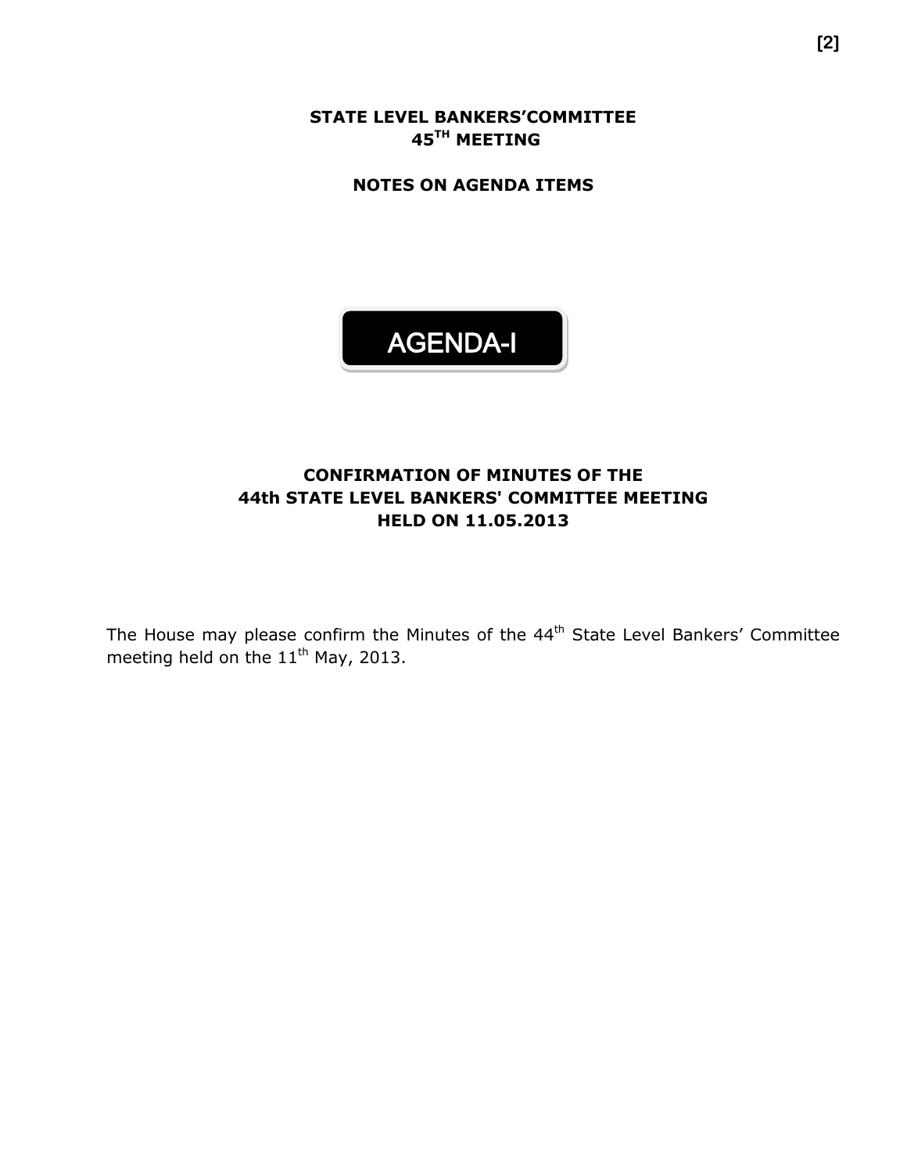**STATE LEVEL BANKERS'COMMITTEE 45 TH MEETING**

**NOTES ON AGENDA ITEMS**



#### **CONFIRMATION OF MINUTES OF THE 44th STATE LEVEL BANKERS' COMMITTEE MEETING HELD ON 11.05.2013**

The House may please confirm the Minutes of the 44<sup>th</sup> State Level Bankers' Committee meeting held on the  $11^{\text{th}}$  May, 2013.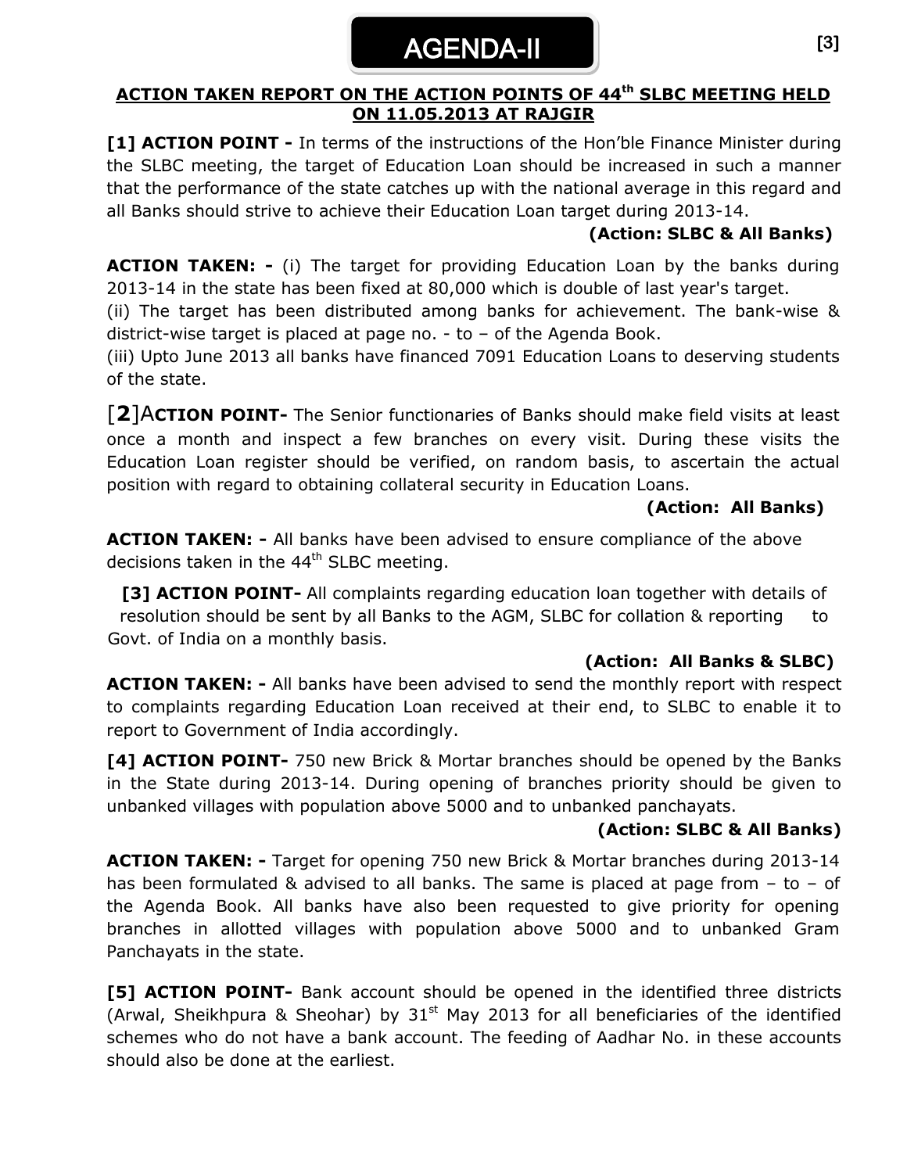## AGENDA-II

#### **ACTION TAKEN REPORT ON THE ACTION POINTS OF 44th SLBC MEETING HELD ON 11.05.2013 AT RAJGIR**

**[1] ACTION POINT -** In terms of the instructions of the Hon'ble Finance Minister during the SLBC meeting, the target of Education Loan should be increased in such a manner that the performance of the state catches up with the national average in this regard and all Banks should strive to achieve their Education Loan target during 2013-14.

#### **(Action: SLBC & All Banks)**

**ACTION TAKEN: -** (i) The target for providing Education Loan by the banks during 2013-14 in the state has been fixed at 80,000 which is double of last year's target.

(ii) The target has been distributed among banks for achievement. The bank-wise & district-wise target is placed at page no. - to – of the Agenda Book.

(iii) Upto June 2013 all banks have financed 7091 Education Loans to deserving students of the state.

[**2**]A**CTION POINT-** The Senior functionaries of Banks should make field visits at least once a month and inspect a few branches on every visit. During these visits the Education Loan register should be verified, on random basis, to ascertain the actual position with regard to obtaining collateral security in Education Loans.

#### **(Action: All Banks)**

**ACTION TAKEN: -** All banks have been advised to ensure compliance of the above decisions taken in the  $44<sup>th</sup>$  SLBC meeting.

**[3] ACTION POINT-** All complaints regarding education loan together with details of resolution should be sent by all Banks to the AGM, SLBC for collation & reporting to Govt. of India on a monthly basis.

#### **(Action: All Banks & SLBC)**

**ACTION TAKEN: -** All banks have been advised to send the monthly report with respect to complaints regarding Education Loan received at their end, to SLBC to enable it to report to Government of India accordingly.

**[4] ACTION POINT-** 750 new Brick & Mortar branches should be opened by the Banks in the State during 2013-14. During opening of branches priority should be given to unbanked villages with population above 5000 and to unbanked panchayats.

#### **(Action: SLBC & All Banks)**

**ACTION TAKEN: -** Target for opening 750 new Brick & Mortar branches during 2013-14 has been formulated & advised to all banks. The same is placed at page from  $-$  to  $-$  of the Agenda Book. All banks have also been requested to give priority for opening branches in allotted villages with population above 5000 and to unbanked Gram Panchayats in the state.

**[5] ACTION POINT-** Bank account should be opened in the identified three districts (Arwal, Sheikhpura & Sheohar) by  $31<sup>st</sup>$  May 2013 for all beneficiaries of the identified schemes who do not have a bank account. The feeding of Aadhar No. in these accounts should also be done at the earliest.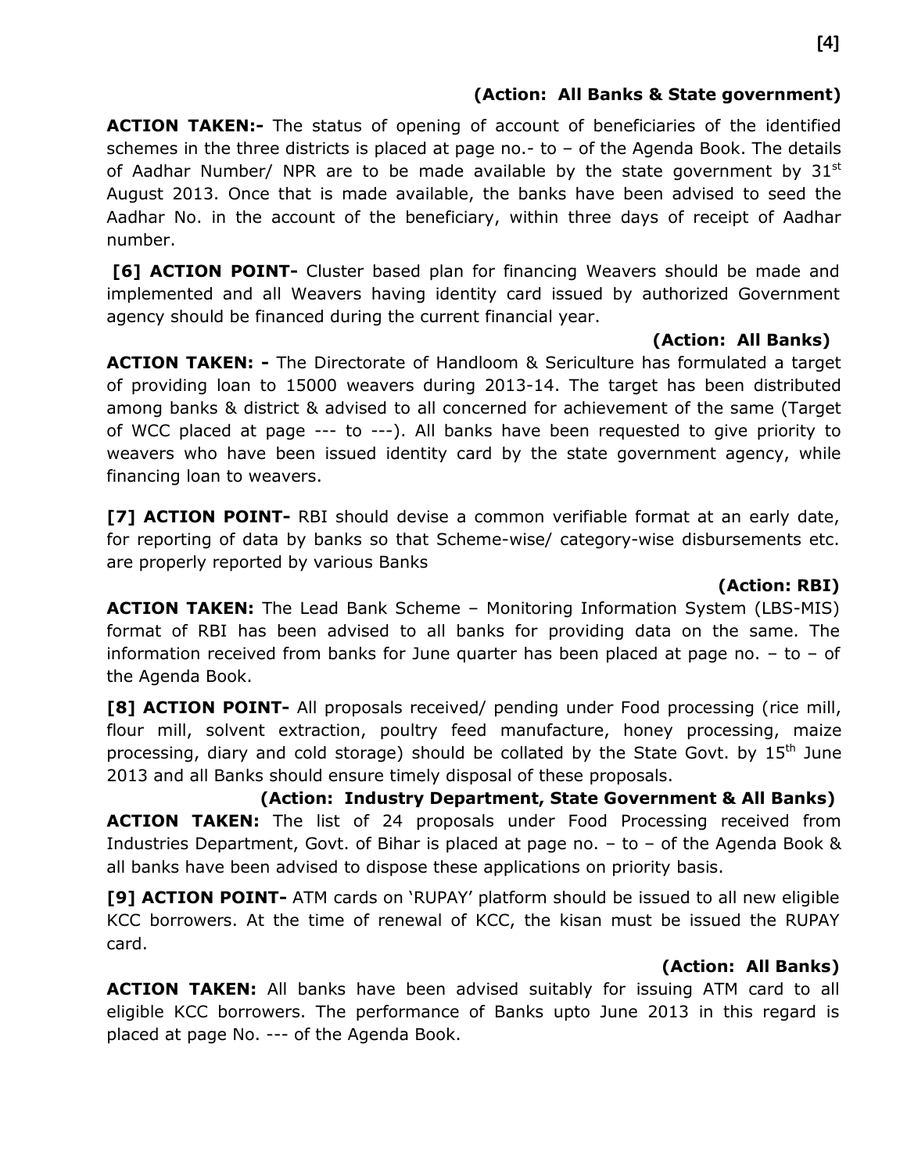#### **(Action: All Banks & State government)**

**ACTION TAKEN:-** The status of opening of account of beneficiaries of the identified schemes in the three districts is placed at page no.- to  $-$  of the Agenda Book. The details of Aadhar Number/ NPR are to be made available by the state government by  $31^{st}$ August 2013. Once that is made available, the banks have been advised to seed the Aadhar No. in the account of the beneficiary, within three days of receipt of Aadhar number.

**[6] ACTION POINT-** Cluster based plan for financing Weavers should be made and implemented and all Weavers having identity card issued by authorized Government agency should be financed during the current financial year.

#### **(Action: All Banks)**

**ACTION TAKEN: -** The Directorate of Handloom & Sericulture has formulated a target of providing loan to 15000 weavers during 2013-14. The target has been distributed among banks & district & advised to all concerned for achievement of the same (Target of WCC placed at page --- to ---). All banks have been requested to give priority to weavers who have been issued identity card by the state government agency, while financing loan to weavers.

**[7] ACTION POINT-** RBI should devise a common verifiable format at an early date, for reporting of data by banks so that Scheme-wise/ category-wise disbursements etc. are properly reported by various Banks

#### **(Action: RBI)**

**ACTION TAKEN:** The Lead Bank Scheme – Monitoring Information System (LBS-MIS) format of RBI has been advised to all banks for providing data on the same. The information received from banks for June quarter has been placed at page no.  $-$  to  $-$  of the Agenda Book.

**[8] ACTION POINT-** All proposals received/ pending under Food processing (rice mill, flour mill, solvent extraction, poultry feed manufacture, honey processing, maize processing, diary and cold storage) should be collated by the State Govt. by  $15<sup>th</sup>$  June 2013 and all Banks should ensure timely disposal of these proposals.

 **(Action: Industry Department, State Government & All Banks) ACTION TAKEN:** The list of 24 proposals under Food Processing received from Industries Department, Govt. of Bihar is placed at page no. – to – of the Agenda Book & all banks have been advised to dispose these applications on priority basis.

**[9] ACTION POINT-** ATM cards on 'RUPAY' platform should be issued to all new eligible KCC borrowers. At the time of renewal of KCC, the kisan must be issued the RUPAY card.

#### **(Action: All Banks)**

**ACTION TAKEN:** All banks have been advised suitably for issuing ATM card to all eligible KCC borrowers. The performance of Banks upto June 2013 in this regard is placed at page No. --- of the Agenda Book.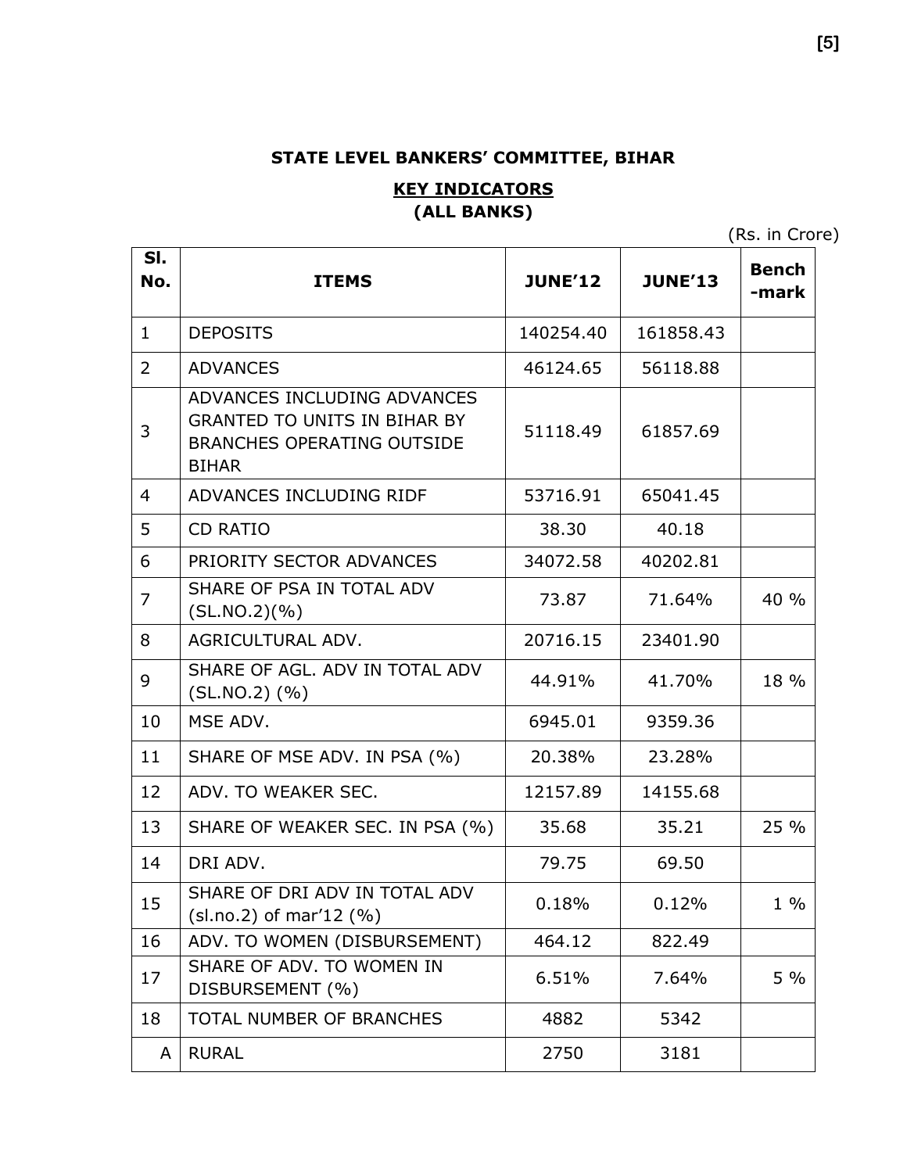#### **STATE LEVEL BANKERS' COMMITTEE, BIHAR**

#### **KEY INDICATORS (ALL BANKS)**

(Rs. in Crore)

| SI.<br>No.     | <b>ITEMS</b>                                                                                                            | <b>JUNE'12</b> | <b>JUNE'13</b> | <b>Bench</b><br>-mark |
|----------------|-------------------------------------------------------------------------------------------------------------------------|----------------|----------------|-----------------------|
| $\mathbf{1}$   | <b>DEPOSITS</b>                                                                                                         | 140254.40      | 161858.43      |                       |
| 2              | <b>ADVANCES</b>                                                                                                         | 46124.65       | 56118.88       |                       |
| 3              | ADVANCES INCLUDING ADVANCES<br><b>GRANTED TO UNITS IN BIHAR BY</b><br><b>BRANCHES OPERATING OUTSIDE</b><br><b>BIHAR</b> | 51118.49       | 61857.69       |                       |
| $\overline{4}$ | ADVANCES INCLUDING RIDF                                                                                                 | 53716.91       | 65041.45       |                       |
| 5              | <b>CD RATIO</b>                                                                                                         | 38.30          | 40.18          |                       |
| 6              | PRIORITY SECTOR ADVANCES                                                                                                | 34072.58       | 40202.81       |                       |
| $\overline{7}$ | SHARE OF PSA IN TOTAL ADV<br>(SL.NO.2)(%)                                                                               | 73.87          | 71.64%         | 40 %                  |
| 8              | AGRICULTURAL ADV.                                                                                                       | 20716.15       | 23401.90       |                       |
| 9              | SHARE OF AGL, ADV IN TOTAL ADV<br>$(SLNO.2)$ $(\% )$                                                                    | 44.91%         | 41.70%         | 18 %                  |
| 10             | MSE ADV.                                                                                                                | 6945.01        | 9359.36        |                       |
| 11             | SHARE OF MSE ADV. IN PSA (%)                                                                                            | 20.38%         | 23.28%         |                       |
| 12             | ADV. TO WEAKER SEC.                                                                                                     | 12157.89       | 14155.68       |                       |
| 13             | SHARE OF WEAKER SEC. IN PSA (%)                                                                                         | 35.68          | 35.21          | 25 %                  |
| 14             | DRI ADV.                                                                                                                | 79.75          | 69.50          |                       |
| 15             | SHARE OF DRI ADV IN TOTAL ADV<br>$(sl.no.2)$ of mar'12 $(\%)$                                                           | 0.18%          | 0.12%          | $1\%$                 |
| 16             | ADV. TO WOMEN (DISBURSEMENT)                                                                                            | 464.12         | 822.49         |                       |
| 17             | SHARE OF ADV. TO WOMEN IN<br>DISBURSEMENT (%)                                                                           | 6.51%          | 7.64%          | $5\%$                 |
| 18             | TOTAL NUMBER OF BRANCHES                                                                                                | 4882           | 5342           |                       |
| A              | <b>RURAL</b>                                                                                                            | 2750           | 3181           |                       |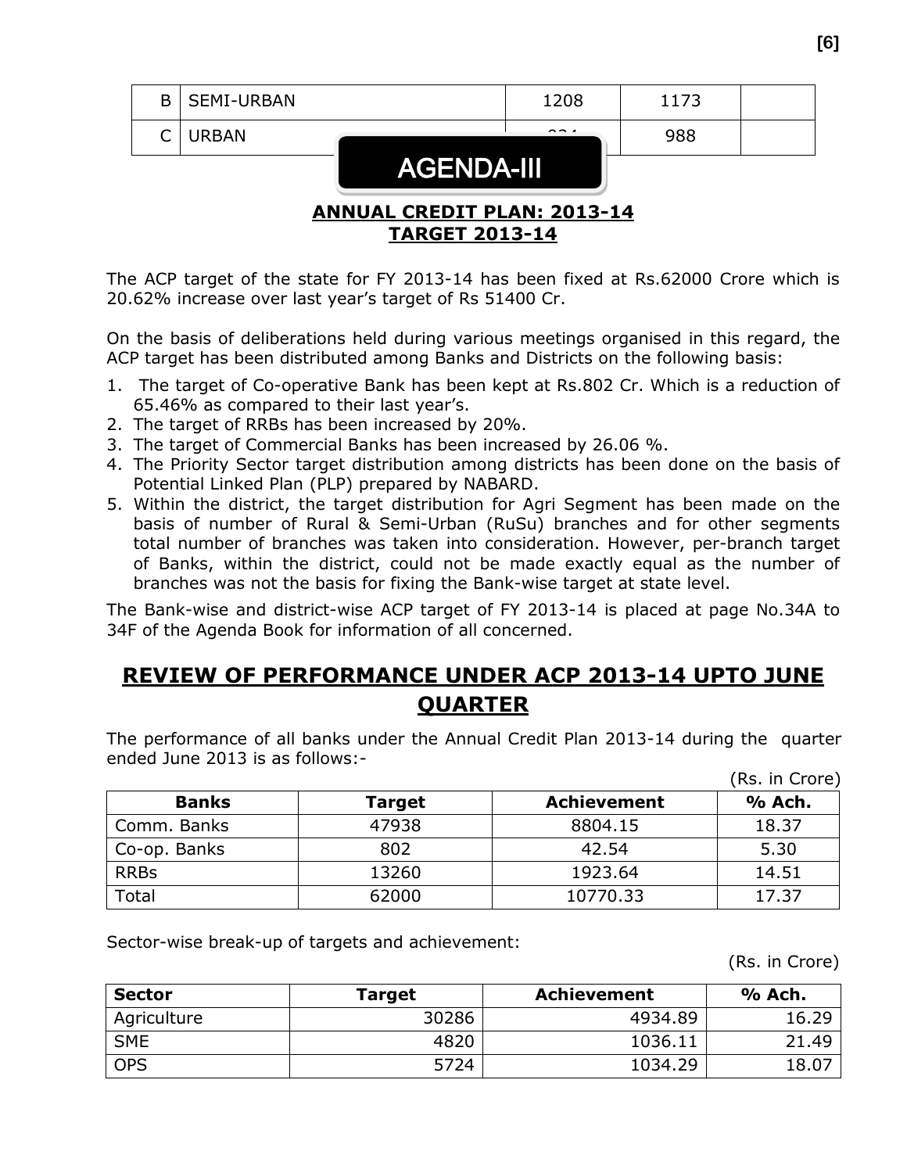|        |                       | ANNIIAI CDENTT DI AN. 2013-14 |                      |      |  |
|--------|-----------------------|-------------------------------|----------------------|------|--|
|        |                       | <b>AGENDA-III</b>             |                      |      |  |
| $\cap$ | <b>URBAN</b>          |                               | $\sim$ $\sim$ $\sim$ | 988  |  |
|        | <b>B</b>   SEMI-URBAN |                               | 1208                 | 1173 |  |

#### **ANNUAL CREDIT PLAN: 2013-14 TARGET 2013-14**

The ACP target of the state for FY 2013-14 has been fixed at Rs.62000 Crore which is 20.62% increase over last year's target of Rs 51400 Cr.

On the basis of deliberations held during various meetings organised in this regard, the ACP target has been distributed among Banks and Districts on the following basis:

- 1. The target of Co-operative Bank has been kept at Rs.802 Cr. Which is a reduction of 65.46% as compared to their last year's.
- 2. The target of RRBs has been increased by 20%.
- 3. The target of Commercial Banks has been increased by 26.06 %.
- 4. The Priority Sector target distribution among districts has been done on the basis of Potential Linked Plan (PLP) prepared by NABARD.
- 5. Within the district, the target distribution for Agri Segment has been made on the basis of number of Rural & Semi-Urban (RuSu) branches and for other segments total number of branches was taken into consideration. However, per-branch target of Banks, within the district, could not be made exactly equal as the number of branches was not the basis for fixing the Bank-wise target at state level.

The Bank-wise and district-wise ACP target of FY 2013-14 is placed at page No.34A to 34F of the Agenda Book for information of all concerned.

### **REVIEW OF PERFORMANCE UNDER ACP 2013-14 UPTO JUNE QUARTER**

The performance of all banks under the Annual Credit Plan 2013-14 during the quarter ended June 2013 is as follows:-  $(De \text{ in } C$ 

|              |               |                    | (RS. In Crore) |
|--------------|---------------|--------------------|----------------|
| <b>Banks</b> | <b>Target</b> | <b>Achievement</b> | % Ach.         |
| Comm. Banks  | 47938         | 8804.15            | 18.37          |
| Co-op. Banks | 802           | 42.54              | 5.30           |
| <b>RRBs</b>  | 13260         | 1923.64            | 14.51          |
| <b>Total</b> | 62000         | 10770.33           | 17.37          |

Sector-wise break-up of targets and achievement:

(Rs. in Crore)

| <b>Sector</b> | <b>Target</b> | <b>Achievement</b> | % Ach. |
|---------------|---------------|--------------------|--------|
| Agriculture   | 30286         | 4934.89            | 16.29  |
| <b>SME</b>    | 4820          | 1036.11            | 21.49  |
| <b>OPS</b>    | 5724          | 1034.29            | 18.07  |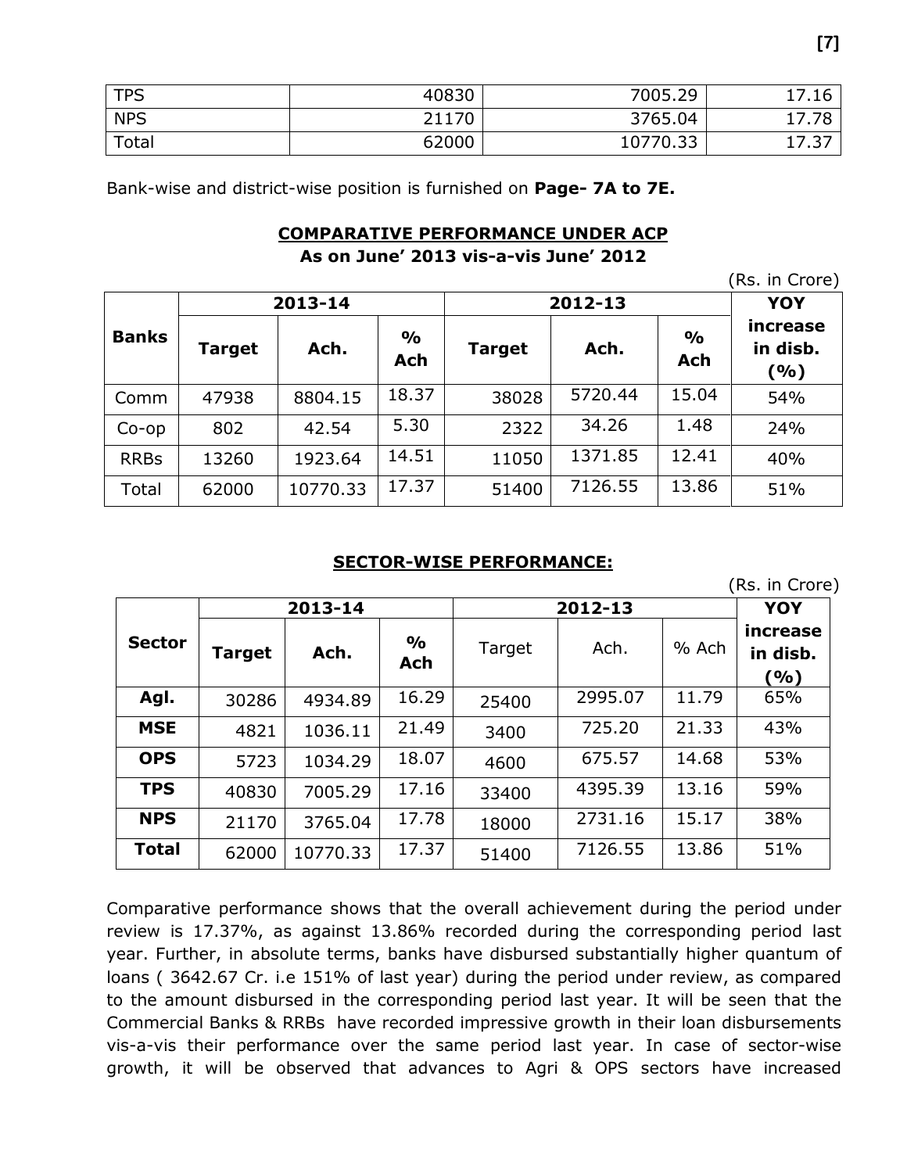| <b>TPS</b> | 40830 | 7005.29  | 17.16 |
|------------|-------|----------|-------|
| <b>NPS</b> | 21170 | 3765.04  | 17.78 |
| Total      | 62000 | 10770.33 | 17.37 |

Bank-wise and district-wise position is furnished on **Page- 7A to 7E.**

#### **COMPARATIVE PERFORMANCE UNDER ACP**

**As on June' 2013 vis-a-vis June' 2012**

|              |        |          |                      |               |         |                             | (Rs. in Crore)              |
|--------------|--------|----------|----------------------|---------------|---------|-----------------------------|-----------------------------|
|              |        | 2013-14  |                      |               | 2012-13 |                             | <b>YOY</b>                  |
| <b>Banks</b> | Target | Ach.     | $\frac{0}{0}$<br>Ach | <b>Target</b> | Ach.    | $\frac{1}{2}$<br><b>Ach</b> | increase<br>in disb.<br>(%) |
| Comm         | 47938  | 8804.15  | 18.37                | 38028         | 5720.44 | 15.04                       | 54%                         |
| $Co$ -op     | 802    | 42.54    | 5.30                 | 2322          | 34.26   | 1.48                        | 24%                         |
| <b>RRBs</b>  | 13260  | 1923.64  | 14.51                | 11050         | 1371.85 | 12.41                       | 40%                         |
| Total        | 62000  | 10770.33 | 17.37                | 51400         | 7126.55 | 13.86                       | 51%                         |

#### **SECTOR-WISE PERFORMANCE:**

(Rs. in Crore)

|               |        | 2013-14  |                             |        | 2012-13 |       |                             |  |
|---------------|--------|----------|-----------------------------|--------|---------|-------|-----------------------------|--|
| <b>Sector</b> | Target | Ach.     | $\frac{1}{2}$<br><b>Ach</b> | Target | Ach.    | % Ach | increase<br>in disb.<br>(%) |  |
| Agl.          | 30286  | 4934.89  | 16.29                       | 25400  | 2995.07 | 11.79 | 65%                         |  |
| <b>MSE</b>    | 4821   | 1036.11  | 21.49                       | 3400   | 725.20  | 21.33 | 43%                         |  |
| <b>OPS</b>    | 5723   | 1034.29  | 18.07                       | 4600   | 675.57  | 14.68 | 53%                         |  |
| <b>TPS</b>    | 40830  | 7005.29  | 17.16                       | 33400  | 4395.39 | 13.16 | 59%                         |  |
| <b>NPS</b>    | 21170  | 3765.04  | 17.78                       | 18000  | 2731.16 | 15.17 | 38%                         |  |
| <b>Total</b>  | 62000  | 10770.33 | 17.37                       | 51400  | 7126.55 | 13.86 | 51%                         |  |

Comparative performance shows that the overall achievement during the period under review is 17.37%, as against 13.86% recorded during the corresponding period last year. Further, in absolute terms, banks have disbursed substantially higher quantum of loans ( 3642.67 Cr. i.e 151% of last year) during the period under review, as compared to the amount disbursed in the corresponding period last year. It will be seen that the Commercial Banks & RRBs have recorded impressive growth in their loan disbursements vis-a-vis their performance over the same period last year. In case of sector-wise growth, it will be observed that advances to Agri & OPS sectors have increased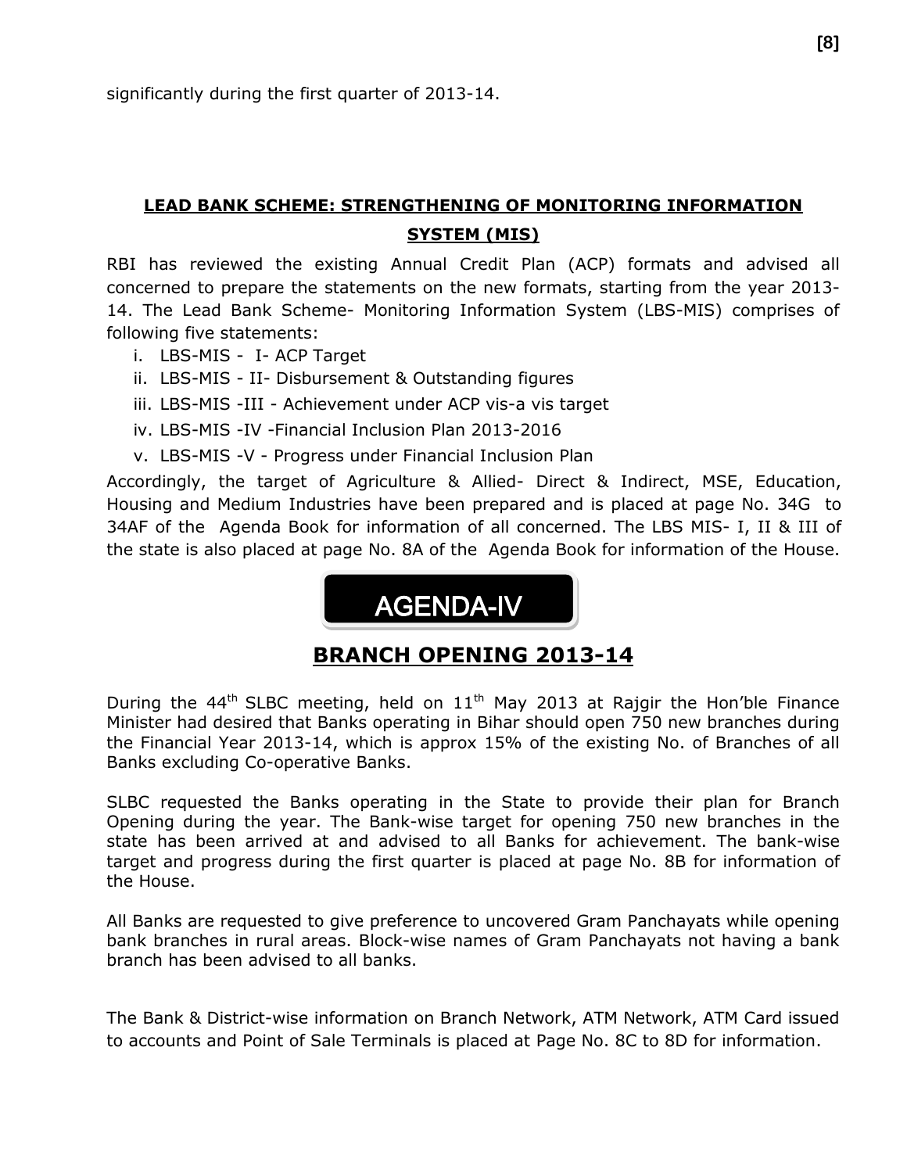#### **LEAD BANK SCHEME: STRENGTHENING OF MONITORING INFORMATION SYSTEM (MIS)**

RBI has reviewed the existing Annual Credit Plan (ACP) formats and advised all concerned to prepare the statements on the new formats, starting from the year 2013- 14. The Lead Bank Scheme- Monitoring Information System (LBS-MIS) comprises of following five statements:

- i. LBS-MIS I- ACP Target
- ii. LBS-MIS II- Disbursement & Outstanding figures
- iii. LBS-MIS -III Achievement under ACP vis-a vis target
- iv. LBS-MIS -IV -Financial Inclusion Plan 2013-2016
- v. LBS-MIS -V Progress under Financial Inclusion Plan

Accordingly, the target of Agriculture & Allied- Direct & Indirect, MSE, Education, Housing and Medium Industries have been prepared and is placed at page No. 34G to 34AF of the Agenda Book for information of all concerned. The LBS MIS- I, II & III of the state is also placed at page No. 8A of the Agenda Book for information of the House.

## AGENDA-IV

#### **BRANCH OPENING 2013-14**

During the  $44<sup>th</sup>$  SLBC meeting, held on  $11<sup>th</sup>$  May 2013 at Rajgir the Hon'ble Finance Minister had desired that Banks operating in Bihar should open 750 new branches during the Financial Year 2013-14, which is approx 15% of the existing No. of Branches of all Banks excluding Co-operative Banks.

SLBC requested the Banks operating in the State to provide their plan for Branch Opening during the year. The Bank-wise target for opening 750 new branches in the state has been arrived at and advised to all Banks for achievement. The bank-wise target and progress during the first quarter is placed at page No. 8B for information of the House.

All Banks are requested to give preference to uncovered Gram Panchayats while opening bank branches in rural areas. Block-wise names of Gram Panchayats not having a bank branch has been advised to all banks.

The Bank & District-wise information on Branch Network, ATM Network, ATM Card issued to accounts and Point of Sale Terminals is placed at Page No. 8C to 8D for information.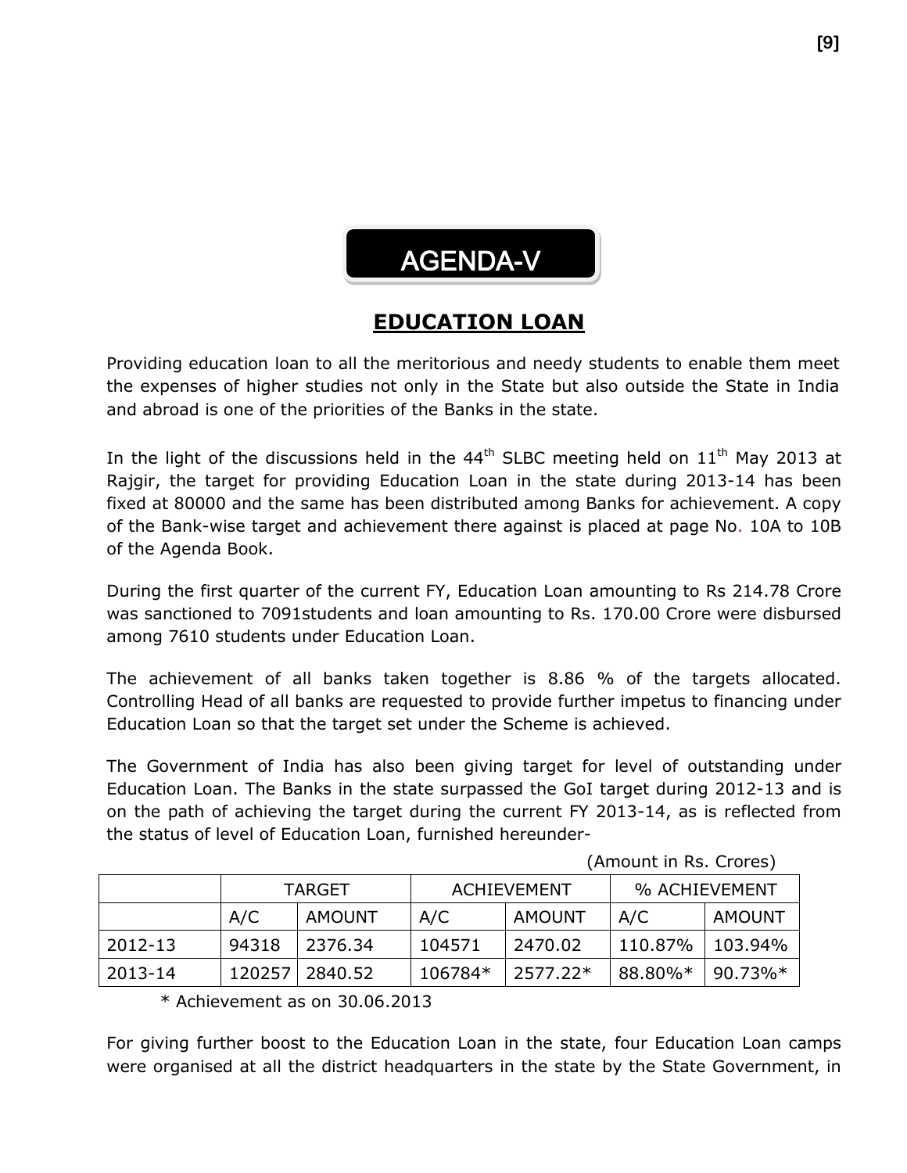# AGENDA-V

### **EDUCATION LOAN**

Providing education loan to all the meritorious and needy students to enable them meet the expenses of higher studies not only in the State but also outside the State in India and abroad is one of the priorities of the Banks in the state.

In the light of the discussions held in the  $44<sup>th</sup>$  SLBC meeting held on  $11<sup>th</sup>$  May 2013 at Rajgir, the target for providing Education Loan in the state during 2013-14 has been fixed at 80000 and the same has been distributed among Banks for achievement. A copy of the Bank-wise target and achievement there against is placed at page No. 10A to 10B of the Agenda Book.

During the first quarter of the current FY, Education Loan amounting to Rs 214.78 Crore was sanctioned to 7091students and loan amounting to Rs. 170.00 Crore were disbursed among 7610 students under Education Loan.

The achievement of all banks taken together is 8.86 % of the targets allocated. Controlling Head of all banks are requested to provide further impetus to financing under Education Loan so that the target set under the Scheme is achieved.

The Government of India has also been giving target for level of outstanding under Education Loan. The Banks in the state surpassed the GoI target during 2012-13 and is on the path of achieving the target during the current FY 2013-14, as is reflected from the status of level of Education Loan, furnished hereunder-

|         | TARGET |               |           | <b>ACHIEVEMENT</b> | % ACHIEVEMENT |            |  |
|---------|--------|---------------|-----------|--------------------|---------------|------------|--|
|         | A/C    | <b>AMOUNT</b> | A/C       | AMOUNT             | A/C           | AMOUNT     |  |
| 2012-13 | 94318  | 2376.34       | 104571    | 2470.02            | 110.87%       | 103.94%    |  |
| 2013-14 | 120257 | 2840.52       | $106784*$ | 2577.22*           | 88.80%*       | $90.73\%*$ |  |

(Amount in Rs. Crores)

 $*$  Achievement as on 30.06.2013

For giving further boost to the Education Loan in the state, four Education Loan camps were organised at all the district headquarters in the state by the State Government, in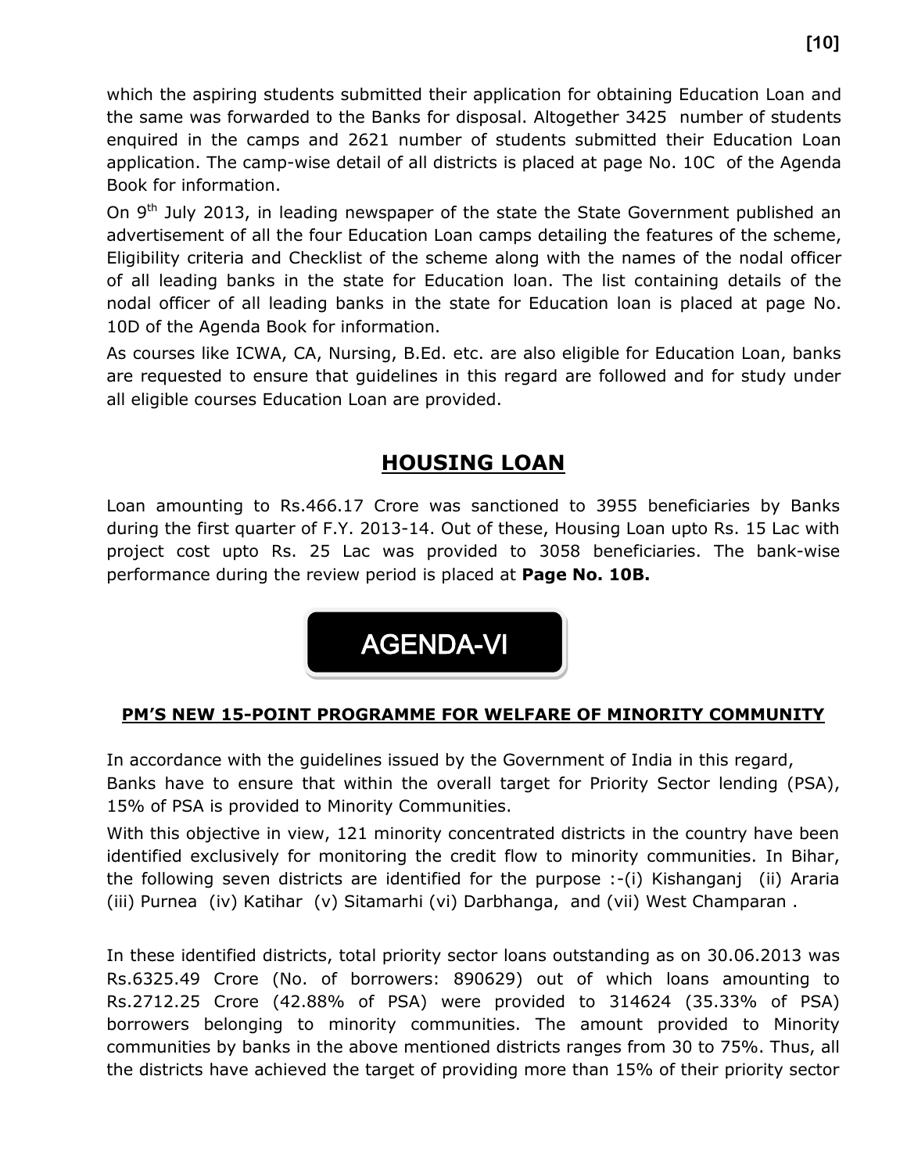which the aspiring students submitted their application for obtaining Education Loan and the same was forwarded to the Banks for disposal. Altogether 3425 number of students enquired in the camps and 2621 number of students submitted their Education Loan application. The camp-wise detail of all districts is placed at page No. 10C of the Agenda Book for information.

On 9<sup>th</sup> July 2013, in leading newspaper of the state the State Government published an advertisement of all the four Education Loan camps detailing the features of the scheme, Eligibility criteria and Checklist of the scheme along with the names of the nodal officer of all leading banks in the state for Education loan. The list containing details of the nodal officer of all leading banks in the state for Education loan is placed at page No. 10D of the Agenda Book for information.

As courses like ICWA, CA, Nursing, B.Ed. etc. are also eligible for Education Loan, banks are requested to ensure that guidelines in this regard are followed and for study under all eligible courses Education Loan are provided.

### **HOUSING LOAN**

Loan amounting to Rs.466.17 Crore was sanctioned to 3955 beneficiaries by Banks during the first quarter of F.Y. 2013-14. Out of these, Housing Loan upto Rs. 15 Lac with project cost upto Rs. 25 Lac was provided to 3058 beneficiaries. The bank-wise performance during the review period is placed at **Page No. 10B.**



#### **PM'S NEW 15-POINT PROGRAMME FOR WELFARE OF MINORITY COMMUNITY**

In accordance with the guidelines issued by the Government of India in this regard, Banks have to ensure that within the overall target for Priority Sector lending (PSA), 15% of PSA is provided to Minority Communities.

With this objective in view, 121 minority concentrated districts in the country have been identified exclusively for monitoring the credit flow to minority communities. In Bihar, the following seven districts are identified for the purpose :-(i) Kishanganj (ii) Araria (iii) Purnea (iv) Katihar (v) Sitamarhi (vi) Darbhanga, and (vii) West Champaran .

In these identified districts, total priority sector loans outstanding as on 30.06.2013 was Rs.6325.49 Crore (No. of borrowers: 890629) out of which loans amounting to Rs.2712.25 Crore (42.88% of PSA) were provided to 314624 (35.33% of PSA) borrowers belonging to minority communities. The amount provided to Minority communities by banks in the above mentioned districts ranges from 30 to 75%. Thus, all the districts have achieved the target of providing more than 15% of their priority sector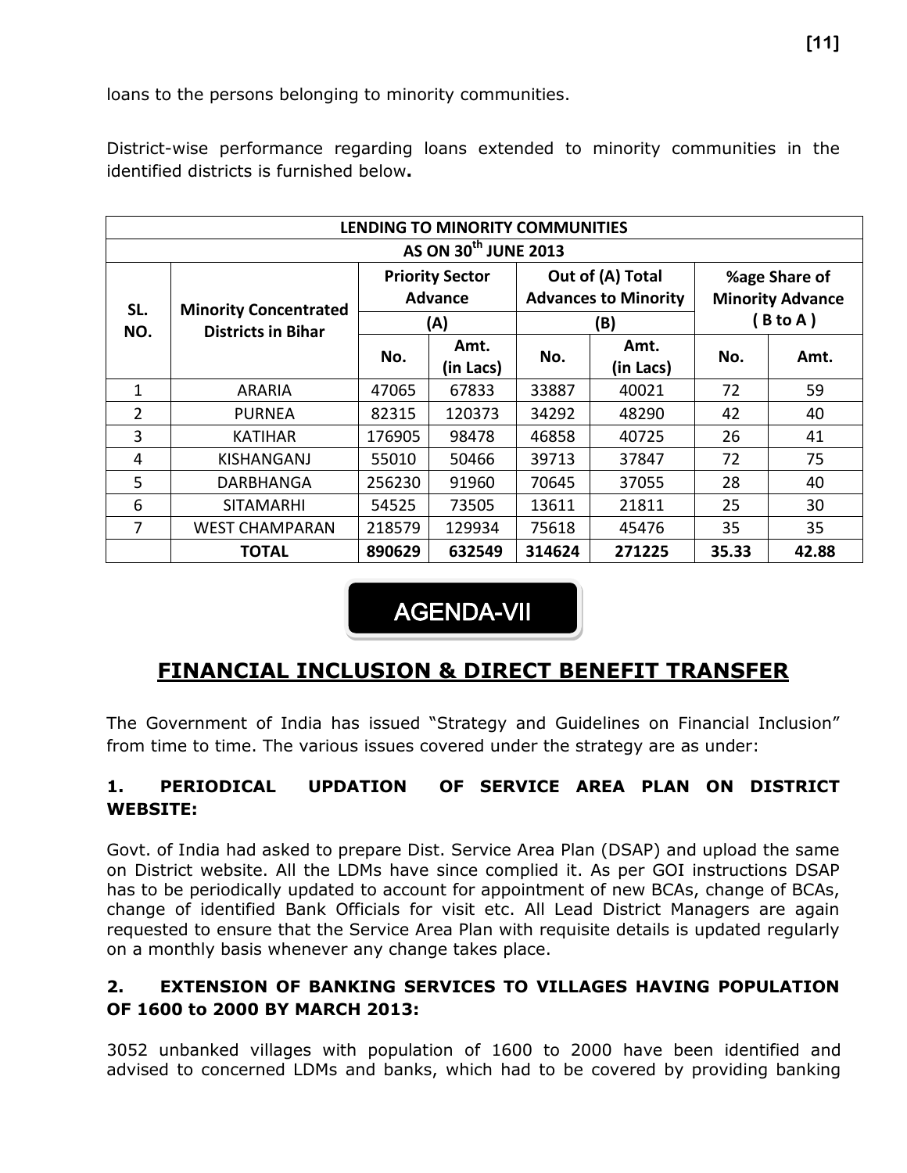loans to the persons belonging to minority communities.

District-wise performance regarding loans extended to minority communities in the identified districts is furnished below**.**

|                                  | LENDING TO MINORITY COMMUNITIES                           |                                                 |                   |                                                        |                   |                                                     |       |  |  |  |  |  |  |
|----------------------------------|-----------------------------------------------------------|-------------------------------------------------|-------------------|--------------------------------------------------------|-------------------|-----------------------------------------------------|-------|--|--|--|--|--|--|
| AS ON 30 <sup>th</sup> JUNE 2013 |                                                           |                                                 |                   |                                                        |                   |                                                     |       |  |  |  |  |  |  |
| SL.<br>NO.                       | <b>Minority Concentrated</b><br><b>Districts in Bihar</b> | <b>Priority Sector</b><br><b>Advance</b><br>(A) |                   | Out of (A) Total<br><b>Advances to Minority</b><br>(B) |                   | %age Share of<br><b>Minority Advance</b><br>B to A) |       |  |  |  |  |  |  |
|                                  |                                                           | No.                                             | Amt.<br>(in Lacs) | No.                                                    | Amt.<br>(in Lacs) | No.                                                 | Amt.  |  |  |  |  |  |  |
| 1                                | <b>ARARIA</b>                                             | 47065                                           | 67833             | 33887                                                  | 40021             | 72                                                  | 59    |  |  |  |  |  |  |
| $\overline{2}$                   | <b>PURNEA</b>                                             | 82315                                           | 120373            | 34292                                                  | 48290             | 42                                                  | 40    |  |  |  |  |  |  |
| 3                                | KATIHAR                                                   | 176905                                          | 98478             | 46858                                                  | 40725             | 26                                                  | 41    |  |  |  |  |  |  |
| 4                                | KISHANGANJ                                                | 55010                                           | 50466             | 39713                                                  | 37847             | 72                                                  | 75    |  |  |  |  |  |  |
| 5                                | <b>DARBHANGA</b>                                          | 256230                                          | 91960             | 70645                                                  | 37055             | 28                                                  | 40    |  |  |  |  |  |  |
| 6                                | <b>SITAMARHI</b>                                          | 54525                                           | 73505             | 13611                                                  | 21811             | 25                                                  | 30    |  |  |  |  |  |  |
| 7                                | <b>WEST CHAMPARAN</b>                                     | 218579                                          | 129934            | 75618                                                  | 45476             | 35                                                  | 35    |  |  |  |  |  |  |
|                                  | <b>TOTAL</b>                                              | 890629                                          | 632549            | 314624                                                 | 271225            | 35.33                                               | 42.88 |  |  |  |  |  |  |

## AGENDA-VII

### **FINANCIAL INCLUSION & DIRECT BENEFIT TRANSFER**

The Government of India has issued "Strategy and Guidelines on Financial Inclusion" from time to time. The various issues covered under the strategy are as under:

#### **1. PERIODICAL UPDATION OF SERVICE AREA PLAN ON DISTRICT WEBSITE:**

Govt. of India had asked to prepare Dist. Service Area Plan (DSAP) and upload the same on District website. All the LDMs have since complied it. As per GOI instructions DSAP has to be periodically updated to account for appointment of new BCAs, change of BCAs, change of identified Bank Officials for visit etc. All Lead District Managers are again requested to ensure that the Service Area Plan with requisite details is updated regularly on a monthly basis whenever any change takes place.

#### **2. EXTENSION OF BANKING SERVICES TO VILLAGES HAVING POPULATION OF 1600 to 2000 BY MARCH 2013:**

3052 unbanked villages with population of 1600 to 2000 have been identified and advised to concerned LDMs and banks, which had to be covered by providing banking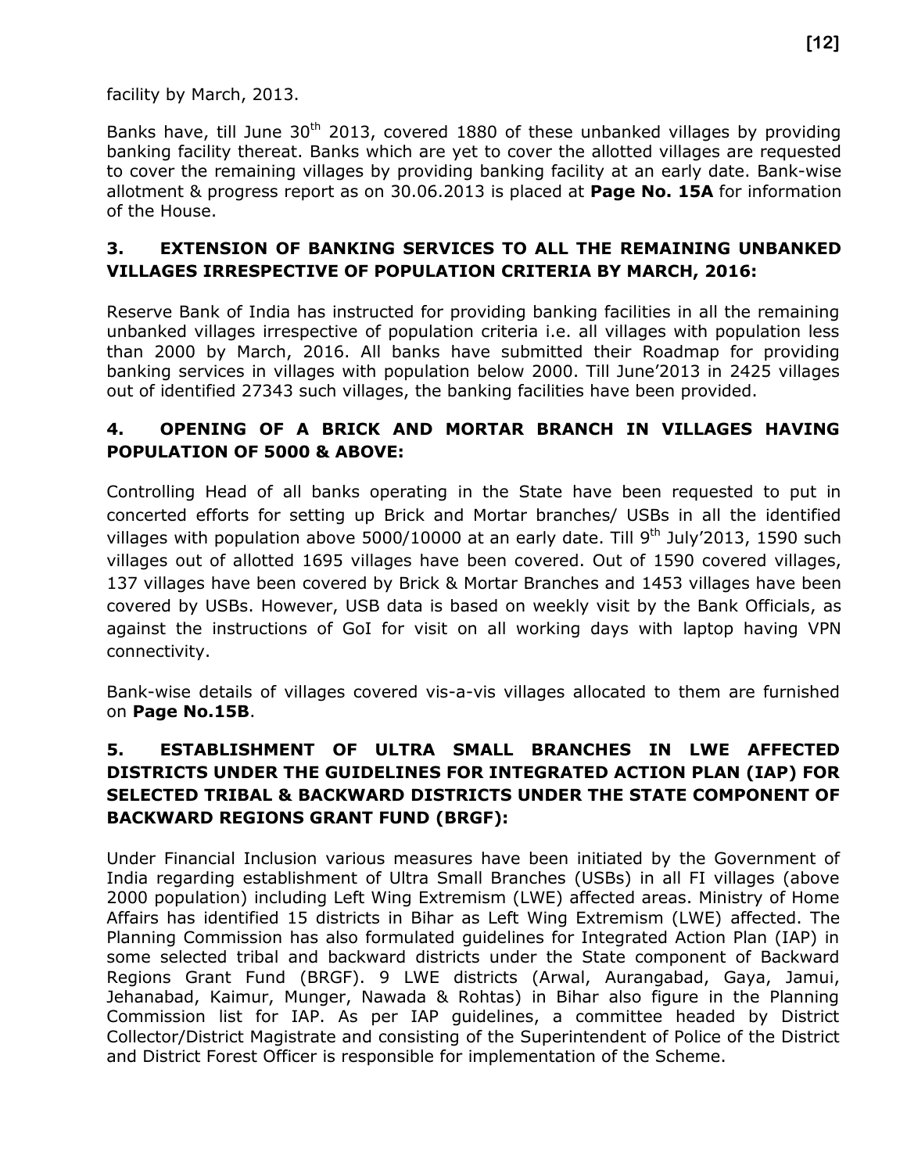facility by March, 2013.

Banks have, till June  $30<sup>th</sup>$  2013, covered 1880 of these unbanked villages by providing banking facility thereat. Banks which are yet to cover the allotted villages are requested to cover the remaining villages by providing banking facility at an early date. Bank-wise allotment & progress report as on 30.06.2013 is placed at **Page No. 15A** for information of the House.

#### **3. EXTENSION OF BANKING SERVICES TO ALL THE REMAINING UNBANKED VILLAGES IRRESPECTIVE OF POPULATION CRITERIA BY MARCH, 2016:**

Reserve Bank of India has instructed for providing banking facilities in all the remaining unbanked villages irrespective of population criteria i.e. all villages with population less than 2000 by March, 2016. All banks have submitted their Roadmap for providing banking services in villages with population below 2000. Till June'2013 in 2425 villages out of identified 27343 such villages, the banking facilities have been provided.

#### **4. OPENING OF A BRICK AND MORTAR BRANCH IN VILLAGES HAVING POPULATION OF 5000 & ABOVE:**

Controlling Head of all banks operating in the State have been requested to put in concerted efforts for setting up Brick and Mortar branches/ USBs in all the identified villages with population above 5000/10000 at an early date. Till 9<sup>th</sup> July'2013, 1590 such villages out of allotted 1695 villages have been covered. Out of 1590 covered villages, 137 villages have been covered by Brick & Mortar Branches and 1453 villages have been covered by USBs. However, USB data is based on weekly visit by the Bank Officials, as against the instructions of GoI for visit on all working days with laptop having VPN connectivity.

Bank-wise details of villages covered vis-a-vis villages allocated to them are furnished on **Page No.15B**.

#### **5. ESTABLISHMENT OF ULTRA SMALL BRANCHES IN LWE AFFECTED DISTRICTS UNDER THE GUIDELINES FOR INTEGRATED ACTION PLAN (IAP) FOR SELECTED TRIBAL & BACKWARD DISTRICTS UNDER THE STATE COMPONENT OF BACKWARD REGIONS GRANT FUND (BRGF):**

Under Financial Inclusion various measures have been initiated by the Government of India regarding establishment of Ultra Small Branches (USBs) in all FI villages (above 2000 population) including Left Wing Extremism (LWE) affected areas. Ministry of Home Affairs has identified 15 districts in Bihar as Left Wing Extremism (LWE) affected. The Planning Commission has also formulated guidelines for Integrated Action Plan (IAP) in some selected tribal and backward districts under the State component of Backward Regions Grant Fund (BRGF). 9 LWE districts (Arwal, Aurangabad, Gaya, Jamui, Jehanabad, Kaimur, Munger, Nawada & Rohtas) in Bihar also figure in the Planning Commission list for IAP. As per IAP guidelines, a committee headed by District Collector/District Magistrate and consisting of the Superintendent of Police of the District and District Forest Officer is responsible for implementation of the Scheme.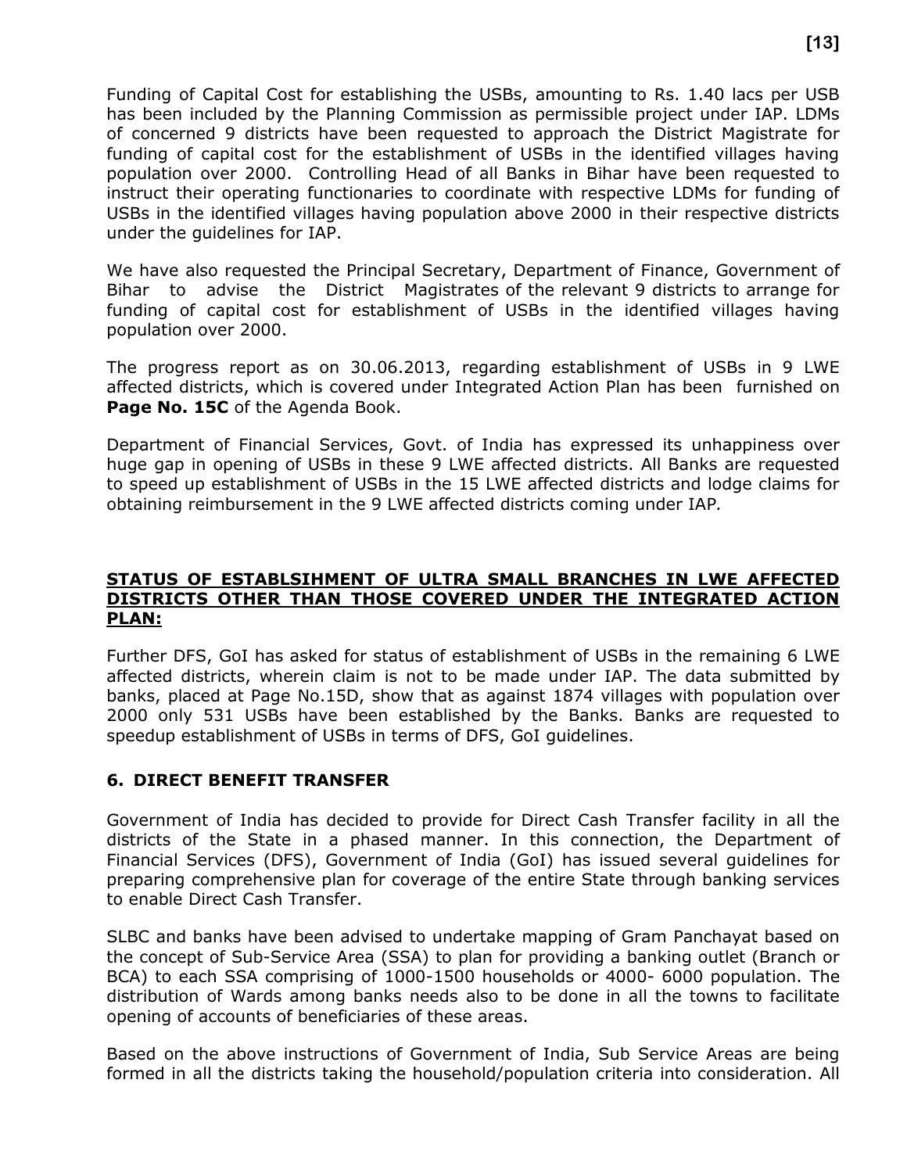Funding of Capital Cost for establishing the USBs, amounting to Rs. 1.40 lacs per USB has been included by the Planning Commission as permissible project under IAP. LDMs of concerned 9 districts have been requested to approach the District Magistrate for funding of capital cost for the establishment of USBs in the identified villages having population over 2000. Controlling Head of all Banks in Bihar have been requested to instruct their operating functionaries to coordinate with respective LDMs for funding of USBs in the identified villages having population above 2000 in their respective districts under the guidelines for IAP.

We have also requested the Principal Secretary, Department of Finance, Government of Bihar to advise the District Magistrates of the relevant 9 districts to arrange for funding of capital cost for establishment of USBs in the identified villages having population over 2000.

The progress report as on 30.06.2013, regarding establishment of USBs in 9 LWE affected districts, which is covered under Integrated Action Plan has been furnished on **Page No. 15C** of the Agenda Book.

Department of Financial Services, Govt. of India has expressed its unhappiness over huge gap in opening of USBs in these 9 LWE affected districts. All Banks are requested to speed up establishment of USBs in the 15 LWE affected districts and lodge claims for obtaining reimbursement in the 9 LWE affected districts coming under IAP*.* 

#### **STATUS OF ESTABLSIHMENT OF ULTRA SMALL BRANCHES IN LWE AFFECTED DISTRICTS OTHER THAN THOSE COVERED UNDER THE INTEGRATED ACTION PLAN:**

Further DFS, GoI has asked for status of establishment of USBs in the remaining 6 LWE affected districts, wherein claim is not to be made under IAP. The data submitted by banks, placed at Page No.15D, show that as against 1874 villages with population over 2000 only 531 USBs have been established by the Banks. Banks are requested to speedup establishment of USBs in terms of DFS, GoI guidelines.

#### **6. DIRECT BENEFIT TRANSFER**

Government of India has decided to provide for Direct Cash Transfer facility in all the districts of the State in a phased manner. In this connection, the Department of Financial Services (DFS), Government of India (GoI) has issued several guidelines for preparing comprehensive plan for coverage of the entire State through banking services to enable Direct Cash Transfer.

SLBC and banks have been advised to undertake mapping of Gram Panchayat based on the concept of Sub-Service Area (SSA) to plan for providing a banking outlet (Branch or BCA) to each SSA comprising of 1000-1500 households or 4000- 6000 population. The distribution of Wards among banks needs also to be done in all the towns to facilitate opening of accounts of beneficiaries of these areas.

Based on the above instructions of Government of India, Sub Service Areas are being formed in all the districts taking the household/population criteria into consideration. All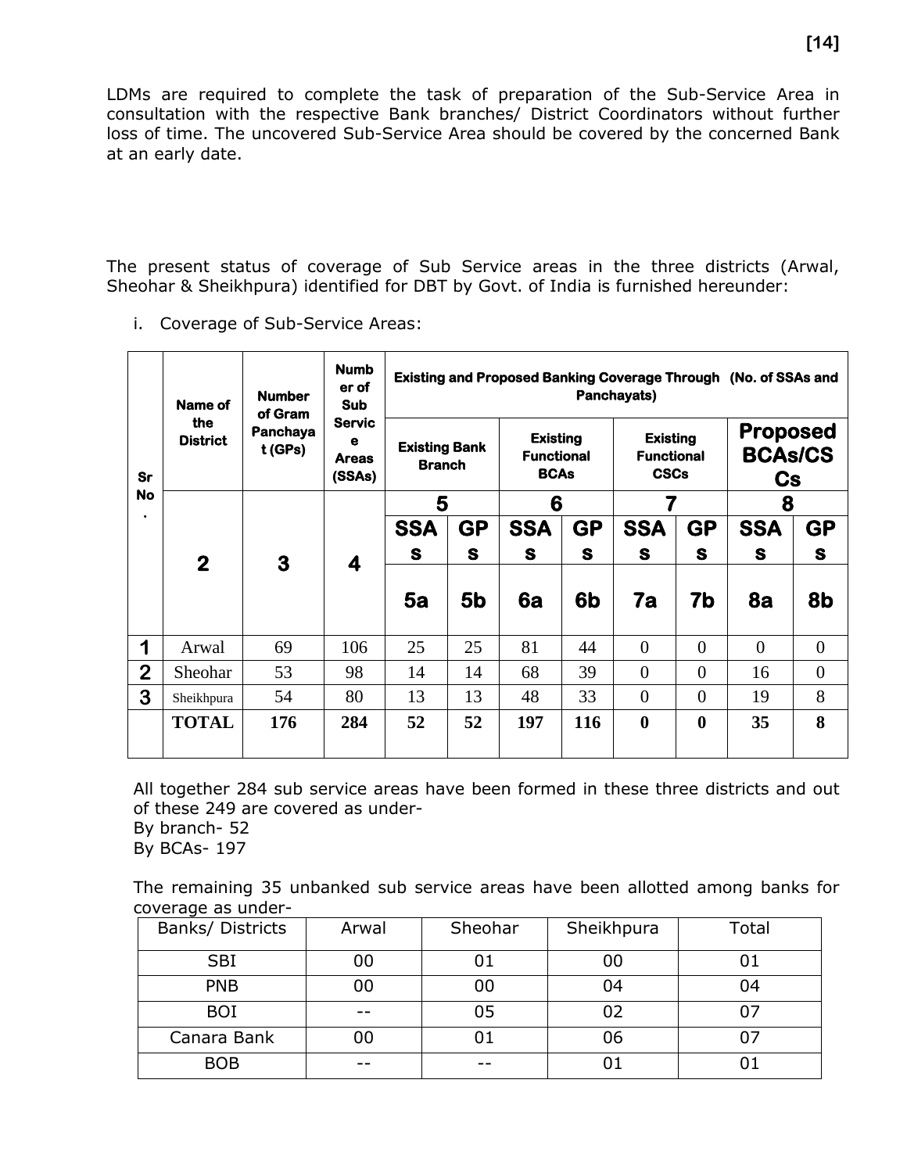LDMs are required to complete the task of preparation of the Sub-Service Area in consultation with the respective Bank branches/ District Coordinators without further loss of time. The uncovered Sub-Service Area should be covered by the concerned Bank at an early date.

The present status of coverage of Sub Service areas in the three districts (Arwal, Sheohar & Sheikhpura) identified for DBT by Govt. of India is furnished hereunder:

i. Coverage of Sub-Service Areas:

|                | Name of                                         | <b>Number</b><br>of Gram | <b>Numb</b><br>er of<br><b>Sub</b>           | Existing and Proposed Banking Coverage Through (No. of SSAs and<br>Panchayats) |                |                                                     |                |                                                     |                |                                                    |                |           |            |           |
|----------------|-------------------------------------------------|--------------------------|----------------------------------------------|--------------------------------------------------------------------------------|----------------|-----------------------------------------------------|----------------|-----------------------------------------------------|----------------|----------------------------------------------------|----------------|-----------|------------|-----------|
| <b>Sr</b>      | the<br>Panchaya<br><b>District</b><br>$t$ (GPs) |                          | <b>Servic</b><br>е<br><b>Areas</b><br>(SSAs) | <b>Existing Bank</b><br><b>Branch</b>                                          |                | <b>Existing</b><br><b>Functional</b><br><b>BCAs</b> |                | <b>Existing</b><br><b>Functional</b><br><b>CSCs</b> |                | <b>Proposed</b><br><b>BCAs/CS</b><br>$\mathbf{Cs}$ |                |           |            |           |
| <b>No</b>      |                                                 |                          |                                              | 5                                                                              |                | 6                                                   |                |                                                     |                | 8                                                  |                |           |            |           |
| $\bullet$      | $\mathbf{2}$                                    | 3                        |                                              |                                                                                |                |                                                     | <b>SSA</b>     | <b>GP</b>                                           | <b>SSA</b>     | <b>GP</b>                                          | <b>SSA</b>     | <b>GP</b> | <b>SSA</b> | <b>GP</b> |
|                |                                                 |                          | 4                                            | S                                                                              | S              | S                                                   | S              | S                                                   | S              | S                                                  | S              |           |            |           |
|                |                                                 |                          |                                              | 5a                                                                             | 5 <sub>b</sub> | 6a                                                  | 6 <sub>b</sub> | 7a                                                  | 7b             | 8a                                                 | 8b             |           |            |           |
| 1              | Arwal                                           | 69                       | 106                                          | 25                                                                             | 25             | 81                                                  | 44             | $\theta$                                            | $\overline{0}$ | $\theta$                                           | $\overline{0}$ |           |            |           |
| $\overline{2}$ | Sheohar                                         | 53                       | 98                                           | 14                                                                             | 14             | 68                                                  | 39             | $\theta$                                            | $\overline{0}$ | 16                                                 | $\overline{0}$ |           |            |           |
| 3              | Sheikhpura                                      | 54                       | 80                                           | 13                                                                             | 13             | 48                                                  | 33             | $\theta$                                            | $\theta$       | 19                                                 | 8              |           |            |           |
|                | <b>TOTAL</b>                                    | 176                      | 284                                          | 52                                                                             | 52             | 197                                                 | 116            | $\bf{0}$                                            | $\bf{0}$       | 35                                                 | 8              |           |            |           |

All together 284 sub service areas have been formed in these three districts and out of these 249 are covered as under-

By branch- 52

By BCAs- 197

The remaining 35 unbanked sub service areas have been allotted among banks for coverage as under-

| Banks/ Districts | Arwal | Sheohar | Sheikhpura | Total |
|------------------|-------|---------|------------|-------|
| <b>SBI</b>       | 00    |         | 00         |       |
| <b>PNB</b>       | 00    | 00      | 04         | 04    |
| <b>BOI</b>       |       | 05      | 02         |       |
| Canara Bank      | 00    |         | 06         |       |
| <b>BOB</b>       | --    | --      |            |       |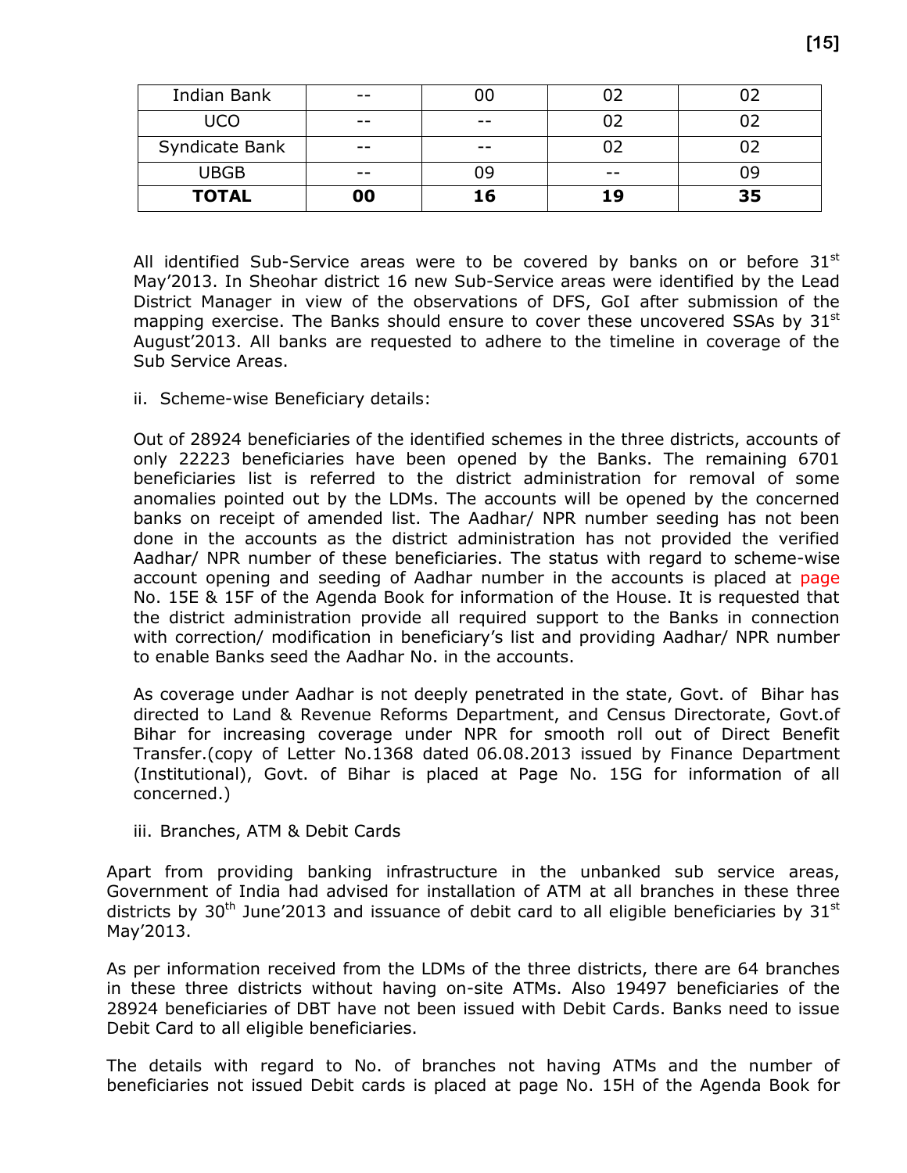| <b>TOTAL</b>   | 00    | 16    | 1 9   | 35 |
|----------------|-------|-------|-------|----|
| <b>UBGB</b>    | $- -$ | 09    | $- -$ | n۹ |
| Syndicate Bank | $ -$  | $- -$ |       |    |
| <b>UCO</b>     | $- -$ | $- -$ |       |    |
| Indian Bank    | $- -$ |       |       |    |

All identified Sub-Service areas were to be covered by banks on or before  $31<sup>st</sup>$ May'2013. In Sheohar district 16 new Sub-Service areas were identified by the Lead District Manager in view of the observations of DFS, GoI after submission of the mapping exercise. The Banks should ensure to cover these uncovered SSAs by  $31<sup>st</sup>$ August'2013. All banks are requested to adhere to the timeline in coverage of the Sub Service Areas.

ii. Scheme-wise Beneficiary details:

Out of 28924 beneficiaries of the identified schemes in the three districts, accounts of only 22223 beneficiaries have been opened by the Banks. The remaining 6701 beneficiaries list is referred to the district administration for removal of some anomalies pointed out by the LDMs. The accounts will be opened by the concerned banks on receipt of amended list. The Aadhar/ NPR number seeding has not been done in the accounts as the district administration has not provided the verified Aadhar/ NPR number of these beneficiaries. The status with regard to scheme-wise account opening and seeding of Aadhar number in the accounts is placed at page No. 15E & 15F of the Agenda Book for information of the House. It is requested that the district administration provide all required support to the Banks in connection with correction/ modification in beneficiary's list and providing Aadhar/ NPR number to enable Banks seed the Aadhar No. in the accounts.

As coverage under Aadhar is not deeply penetrated in the state, Govt. of Bihar has directed to Land & Revenue Reforms Department, and Census Directorate, Govt.of Bihar for increasing coverage under NPR for smooth roll out of Direct Benefit Transfer.(copy of Letter No.1368 dated 06.08.2013 issued by Finance Department (Institutional), Govt. of Bihar is placed at Page No. 15G for information of all concerned.)

iii. Branches, ATM & Debit Cards

Apart from providing banking infrastructure in the unbanked sub service areas, Government of India had advised for installation of ATM at all branches in these three districts by 30<sup>th</sup> June'2013 and issuance of debit card to all eligible beneficiaries by 31<sup>st</sup> May'2013.

As per information received from the LDMs of the three districts, there are 64 branches in these three districts without having on-site ATMs. Also 19497 beneficiaries of the 28924 beneficiaries of DBT have not been issued with Debit Cards. Banks need to issue Debit Card to all eligible beneficiaries.

The details with regard to No. of branches not having ATMs and the number of beneficiaries not issued Debit cards is placed at page No. 15H of the Agenda Book for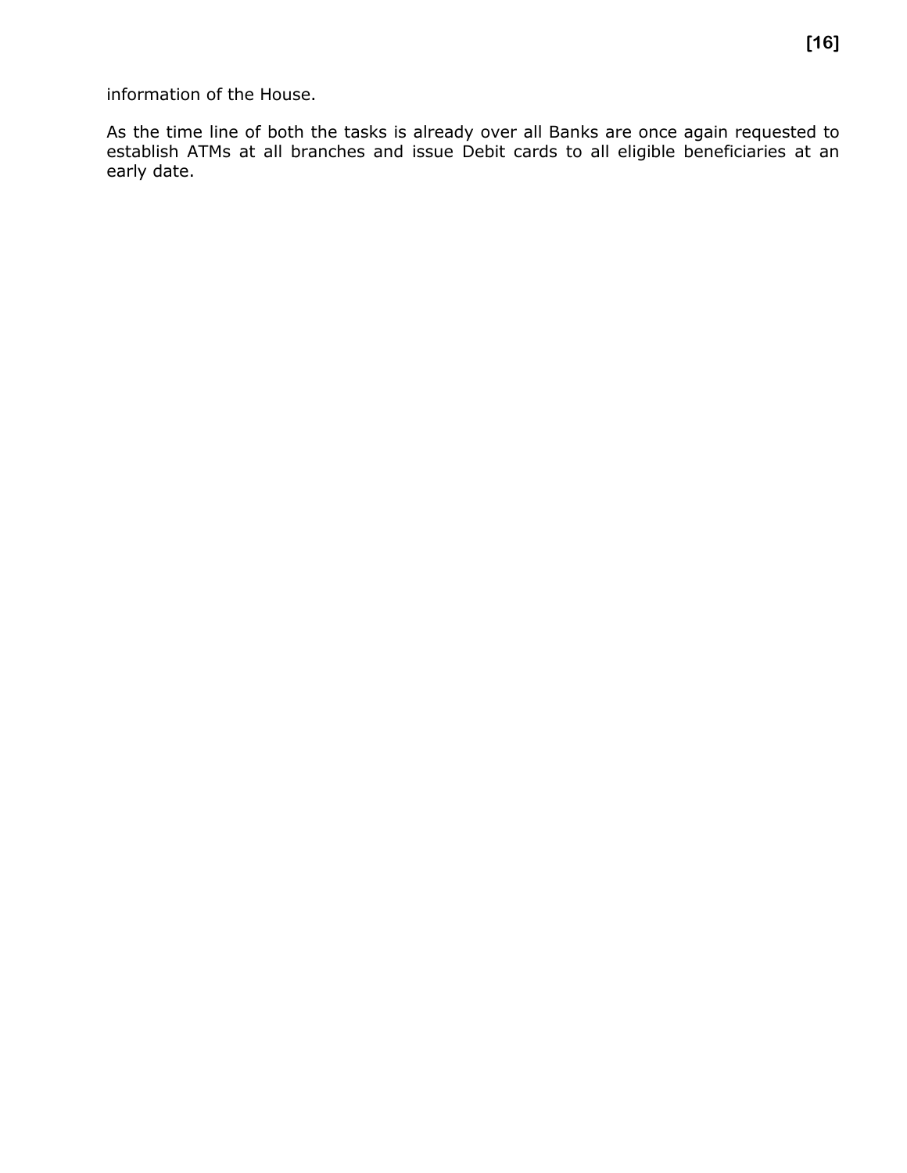information of the House.

As the time line of both the tasks is already over all Banks are once again requested to establish ATMs at all branches and issue Debit cards to all eligible beneficiaries at an early date.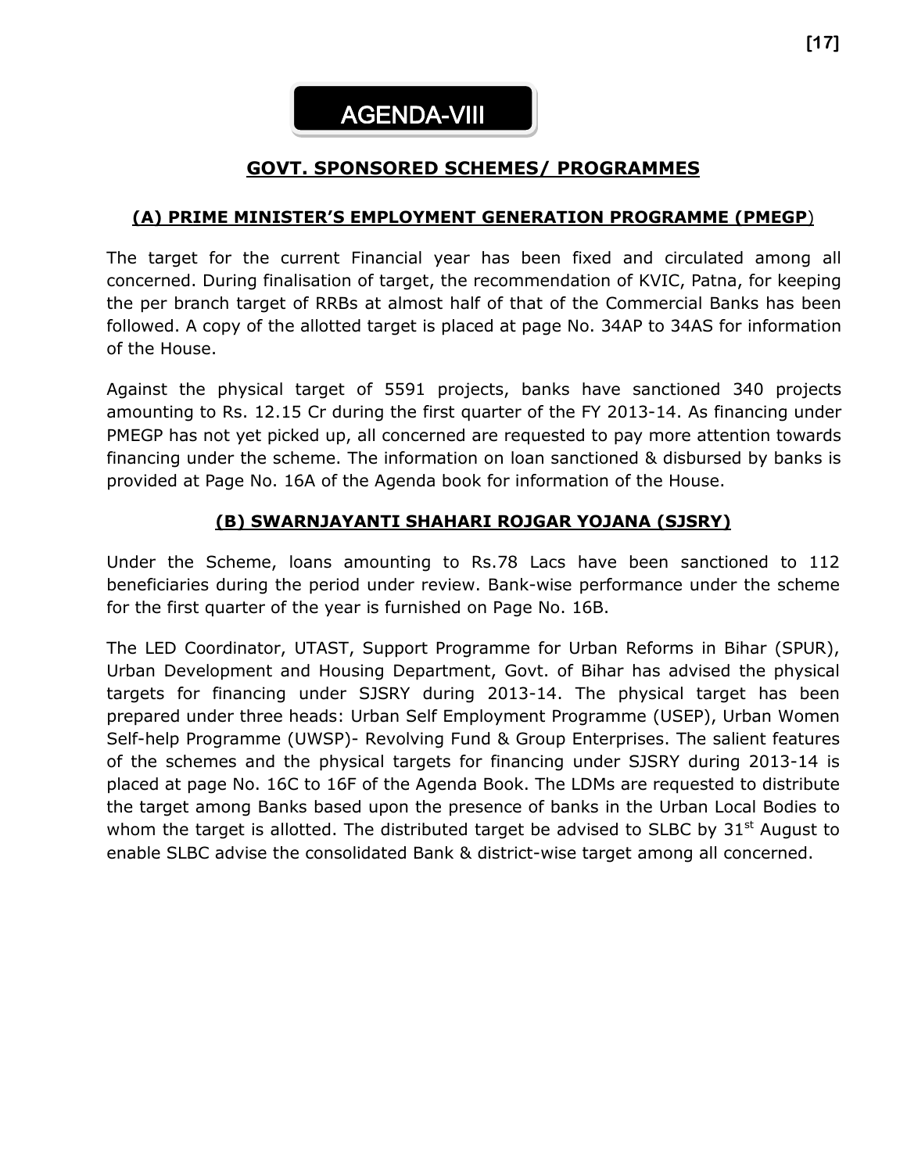#### **GOVT. SPONSORED SCHEMES/ PROGRAMMES**

#### **(A) PRIME MINISTER'S EMPLOYMENT GENERATION PROGRAMME (PMEGP**)

The target for the current Financial year has been fixed and circulated among all concerned. During finalisation of target, the recommendation of KVIC, Patna, for keeping the per branch target of RRBs at almost half of that of the Commercial Banks has been followed. A copy of the allotted target is placed at page No. 34AP to 34AS for information of the House.

Against the physical target of 5591 projects, banks have sanctioned 340 projects amounting to Rs. 12.15 Cr during the first quarter of the FY 2013-14. As financing under PMEGP has not yet picked up, all concerned are requested to pay more attention towards financing under the scheme. The information on loan sanctioned & disbursed by banks is provided at Page No. 16A of the Agenda book for information of the House.

#### **(B) SWARNJAYANTI SHAHARI ROJGAR YOJANA (SJSRY)**

Under the Scheme, loans amounting to Rs.78 Lacs have been sanctioned to 112 beneficiaries during the period under review. Bank-wise performance under the scheme for the first quarter of the year is furnished on Page No. 16B.

The LED Coordinator, UTAST, Support Programme for Urban Reforms in Bihar (SPUR), Urban Development and Housing Department, Govt. of Bihar has advised the physical targets for financing under SJSRY during 2013-14. The physical target has been prepared under three heads: Urban Self Employment Programme (USEP), Urban Women Self-help Programme (UWSP)- Revolving Fund & Group Enterprises. The salient features of the schemes and the physical targets for financing under SJSRY during 2013-14 is placed at page No. 16C to 16F of the Agenda Book. The LDMs are requested to distribute the target among Banks based upon the presence of banks in the Urban Local Bodies to whom the target is allotted. The distributed target be advised to SLBC by  $31<sup>st</sup>$  August to enable SLBC advise the consolidated Bank & district-wise target among all concerned.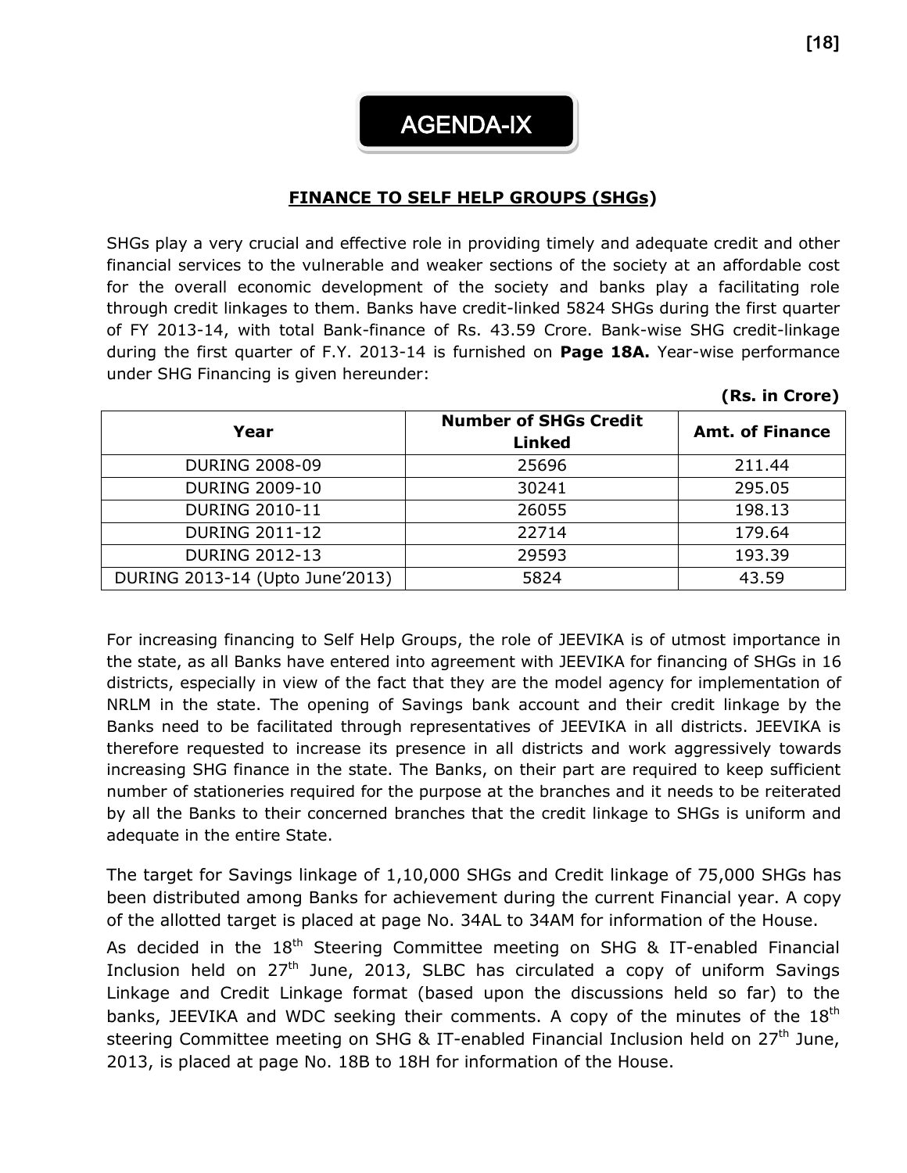AGENDA-IX

#### **FINANCE TO SELF HELP GROUPS (SHGs)**

SHGs play a very crucial and effective role in providing timely and adequate credit and other financial services to the vulnerable and weaker sections of the society at an affordable cost for the overall economic development of the society and banks play a facilitating role through credit linkages to them. Banks have credit-linked 5824 SHGs during the first quarter of FY 2013-14, with total Bank-finance of Rs. 43.59 Crore. Bank-wise SHG credit-linkage during the first quarter of F.Y. 2013-14 is furnished on **Page 18A.** Year-wise performance under SHG Financing is given hereunder:

| Year                            | <b>Number of SHGs Credit</b><br><b>Linked</b> | <b>Amt. of Finance</b> |
|---------------------------------|-----------------------------------------------|------------------------|
| <b>DURING 2008-09</b>           | 25696                                         | 211.44                 |
| <b>DURING 2009-10</b>           | 30241                                         | 295.05                 |
| <b>DURING 2010-11</b>           | 26055                                         | 198.13                 |
| <b>DURING 2011-12</b>           | 22714                                         | 179.64                 |
| <b>DURING 2012-13</b>           | 29593                                         | 193.39                 |
| DURING 2013-14 (Upto June'2013) | 5824                                          | 43.59                  |

For increasing financing to Self Help Groups, the role of JEEVIKA is of utmost importance in the state, as all Banks have entered into agreement with JEEVIKA for financing of SHGs in 16 districts, especially in view of the fact that they are the model agency for implementation of NRLM in the state. The opening of Savings bank account and their credit linkage by the Banks need to be facilitated through representatives of JEEVIKA in all districts. JEEVIKA is therefore requested to increase its presence in all districts and work aggressively towards increasing SHG finance in the state. The Banks, on their part are required to keep sufficient number of stationeries required for the purpose at the branches and it needs to be reiterated by all the Banks to their concerned branches that the credit linkage to SHGs is uniform and adequate in the entire State.

The target for Savings linkage of 1,10,000 SHGs and Credit linkage of 75,000 SHGs has been distributed among Banks for achievement during the current Financial year. A copy of the allotted target is placed at page No. 34AL to 34AM for information of the House.

As decided in the 18<sup>th</sup> Steering Committee meeting on SHG & IT-enabled Financial Inclusion held on 27<sup>th</sup> June, 2013, SLBC has circulated a copy of uniform Savings Linkage and Credit Linkage format (based upon the discussions held so far) to the banks, JEEVIKA and WDC seeking their comments. A copy of the minutes of the 18<sup>th</sup> steering Committee meeting on SHG & IT-enabled Financial Inclusion held on  $27<sup>th</sup>$  June, 2013, is placed at page No. 18B to 18H for information of the House.

**(Rs. in Crore)**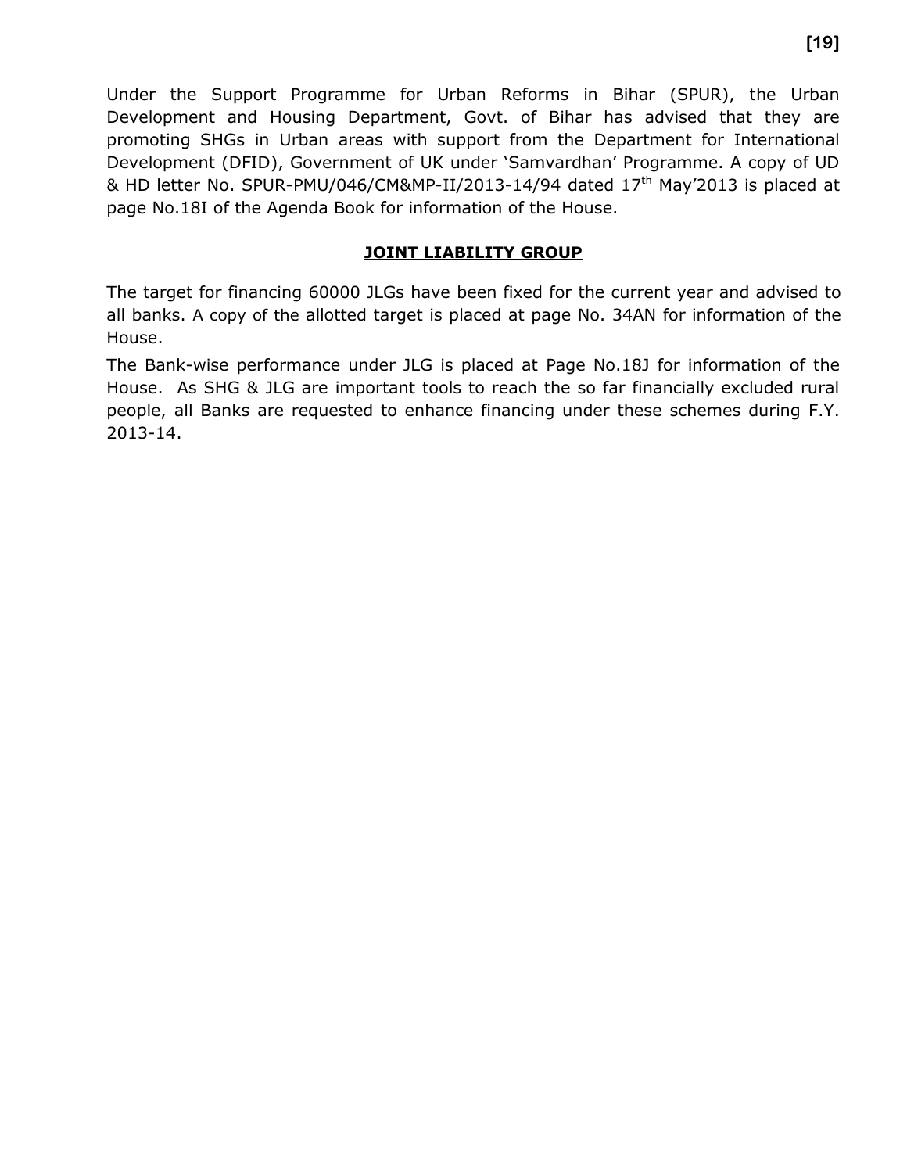Under the Support Programme for Urban Reforms in Bihar (SPUR), the Urban Development and Housing Department, Govt. of Bihar has advised that they are promoting SHGs in Urban areas with support from the Department for International Development (DFID), Government of UK under 'Samvardhan' Programme. A copy of UD & HD letter No. SPUR-PMU/046/CM&MP-II/2013-14/94 dated 17<sup>th</sup> May'2013 is placed at page No.18I of the Agenda Book for information of the House.

#### **JOINT LIABILITY GROUP**

The target for financing 60000 JLGs have been fixed for the current year and advised to all banks. A copy of the allotted target is placed at page No. 34AN for information of the House.

The Bank-wise performance under JLG is placed at Page No.18J for information of the House. As SHG & JLG are important tools to reach the so far financially excluded rural people, all Banks are requested to enhance financing under these schemes during F.Y. 2013-14.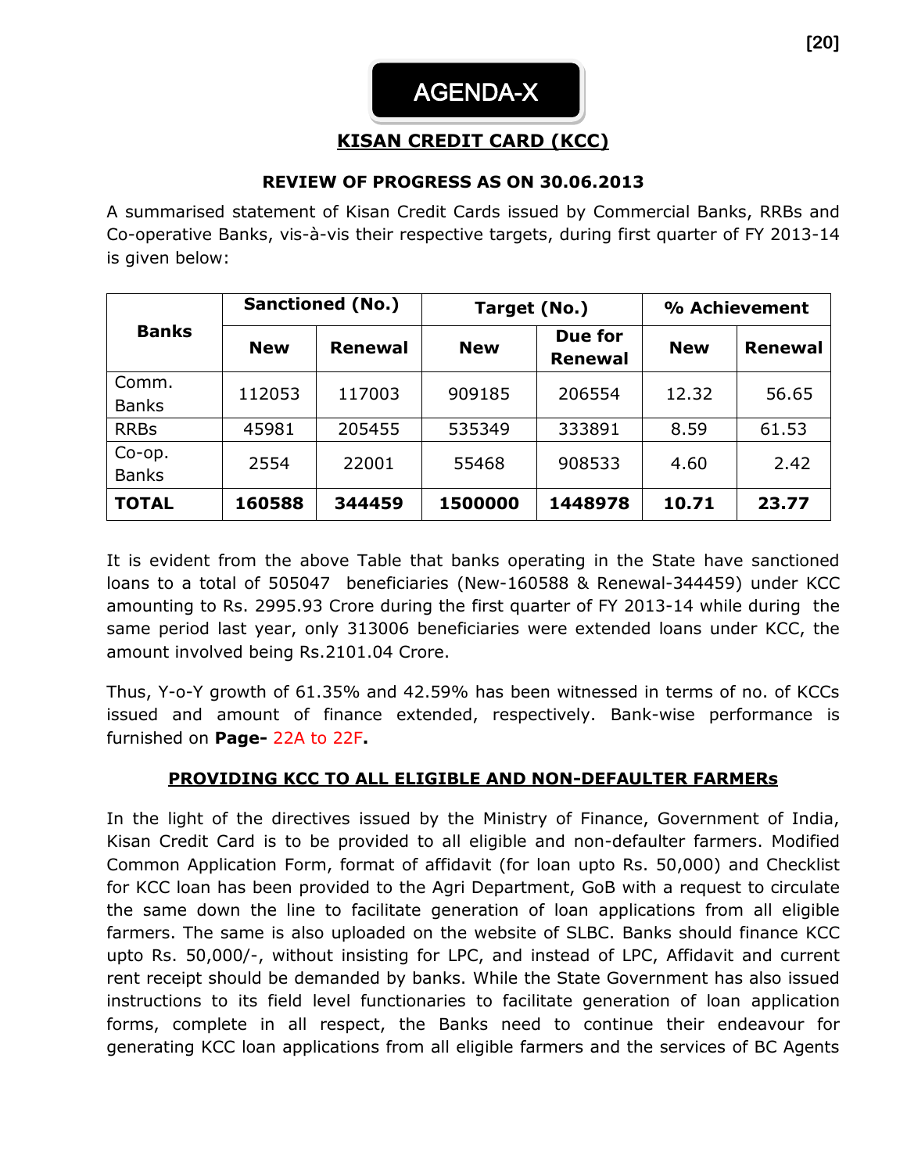#### **KISAN CREDIT CARD (KCC)**

#### **REVIEW OF PROGRESS AS ON 30.06.2013**

A summarised statement of Kisan Credit Cards issued by Commercial Banks, RRBs and Co-operative Banks, vis-à-vis their respective targets, during first quarter of FY 2013-14 is given below:

|                        | <b>Sanctioned (No.)</b> |                | Target (No.) |                           | % Achievement |                |
|------------------------|-------------------------|----------------|--------------|---------------------------|---------------|----------------|
| <b>Banks</b>           | <b>New</b>              | <b>Renewal</b> | <b>New</b>   | Due for<br><b>Renewal</b> | <b>New</b>    | <b>Renewal</b> |
| Comm.<br><b>Banks</b>  | 112053                  | 117003         | 909185       | 206554                    | 12.32         | 56.65          |
| <b>RRBs</b>            | 45981                   | 205455         | 535349       | 333891                    | 8.59          | 61.53          |
| Co-op.<br><b>Banks</b> | 2554                    | 22001          | 55468        | 908533                    | 4.60          | 2.42           |
| <b>TOTAL</b>           | 160588                  | 344459         | 1500000      | 1448978                   | 10.71         | 23.77          |

It is evident from the above Table that banks operating in the State have sanctioned loans to a total of 505047 beneficiaries (New-160588 & Renewal-344459) under KCC amounting to Rs. 2995.93 Crore during the first quarter of FY 2013-14 while during the same period last year, only 313006 beneficiaries were extended loans under KCC, the amount involved being Rs.2101.04 Crore.

Thus, Y-o-Y growth of 61.35% and 42.59% has been witnessed in terms of no. of KCCs issued and amount of finance extended, respectively. Bank-wise performance is furnished on **Page-** 22A to 22F**.** 

#### **PROVIDING KCC TO ALL ELIGIBLE AND NON-DEFAULTER FARMERs**

In the light of the directives issued by the Ministry of Finance, Government of India, Kisan Credit Card is to be provided to all eligible and non-defaulter farmers. Modified Common Application Form, format of affidavit (for loan upto Rs. 50,000) and Checklist for KCC loan has been provided to the Agri Department, GoB with a request to circulate the same down the line to facilitate generation of loan applications from all eligible farmers. The same is also uploaded on the website of SLBC. Banks should finance KCC upto Rs. 50,000/-, without insisting for LPC, and instead of LPC, Affidavit and current rent receipt should be demanded by banks. While the State Government has also issued instructions to its field level functionaries to facilitate generation of loan application forms, complete in all respect, the Banks need to continue their endeavour for generating KCC loan applications from all eligible farmers and the services of BC Agents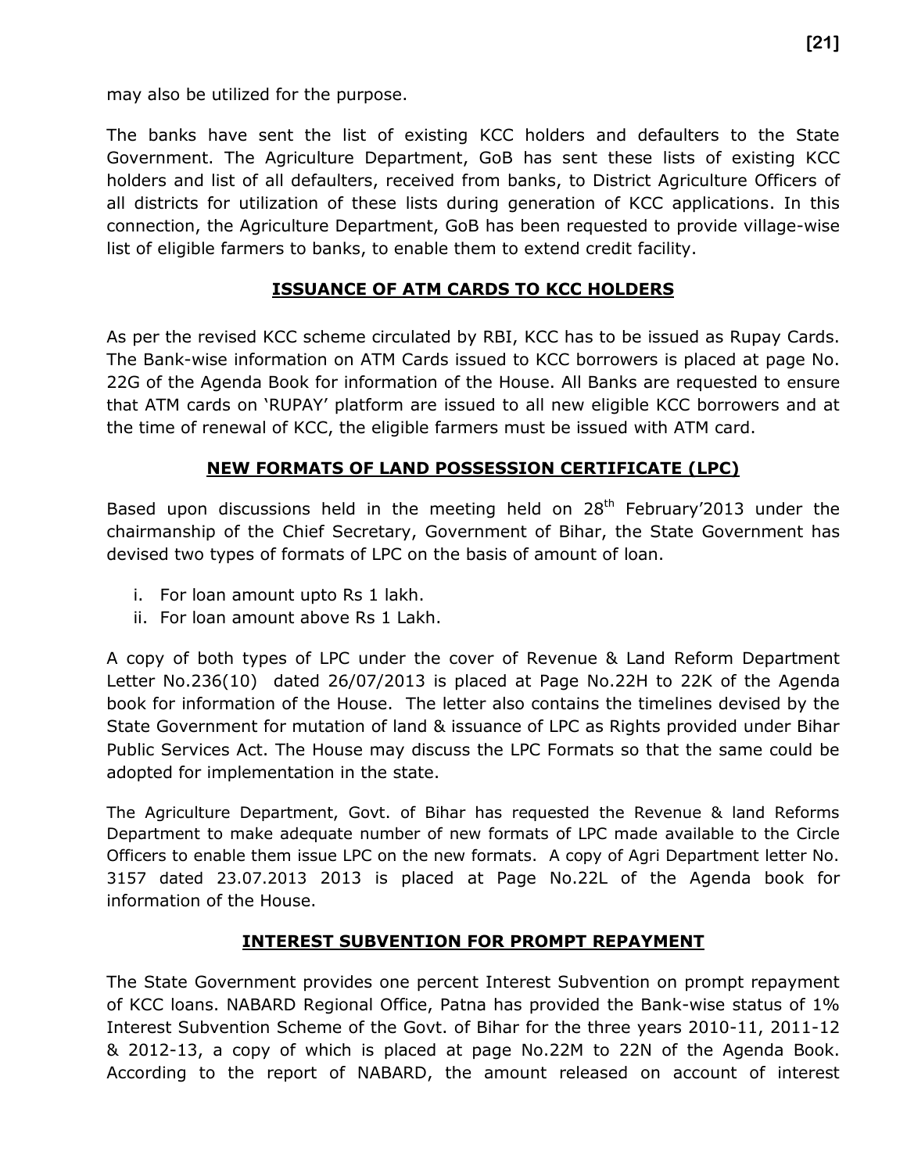may also be utilized for the purpose.

The banks have sent the list of existing KCC holders and defaulters to the State Government. The Agriculture Department, GoB has sent these lists of existing KCC holders and list of all defaulters, received from banks, to District Agriculture Officers of all districts for utilization of these lists during generation of KCC applications. In this connection, the Agriculture Department, GoB has been requested to provide village-wise list of eligible farmers to banks, to enable them to extend credit facility.

#### **ISSUANCE OF ATM CARDS TO KCC HOLDERS**

As per the revised KCC scheme circulated by RBI, KCC has to be issued as Rupay Cards. The Bank-wise information on ATM Cards issued to KCC borrowers is placed at page No. 22G of the Agenda Book for information of the House. All Banks are requested to ensure that ATM cards on 'RUPAY' platform are issued to all new eligible KCC borrowers and at the time of renewal of KCC, the eligible farmers must be issued with ATM card.

#### **NEW FORMATS OF LAND POSSESSION CERTIFICATE (LPC)**

Based upon discussions held in the meeting held on  $28<sup>th</sup>$  February'2013 under the chairmanship of the Chief Secretary, Government of Bihar, the State Government has devised two types of formats of LPC on the basis of amount of loan.

- i. For loan amount upto Rs 1 lakh.
- ii. For loan amount above Rs 1 Lakh.

A copy of both types of LPC under the cover of Revenue & Land Reform Department Letter No.236(10) dated 26/07/2013 is placed at Page No.22H to 22K of the Agenda book for information of the House. The letter also contains the timelines devised by the State Government for mutation of land & issuance of LPC as Rights provided under Bihar Public Services Act. The House may discuss the LPC Formats so that the same could be adopted for implementation in the state.

The Agriculture Department, Govt. of Bihar has requested the Revenue & land Reforms Department to make adequate number of new formats of LPC made available to the Circle Officers to enable them issue LPC on the new formats. A copy of Agri Department letter No. 3157 dated 23.07.2013 2013 is placed at Page No.22L of the Agenda book for information of the House.

#### **INTEREST SUBVENTION FOR PROMPT REPAYMENT**

The State Government provides one percent Interest Subvention on prompt repayment of KCC loans. NABARD Regional Office, Patna has provided the Bank-wise status of 1% Interest Subvention Scheme of the Govt. of Bihar for the three years 2010-11, 2011-12 & 2012-13, a copy of which is placed at page No.22M to 22N of the Agenda Book. According to the report of NABARD, the amount released on account of interest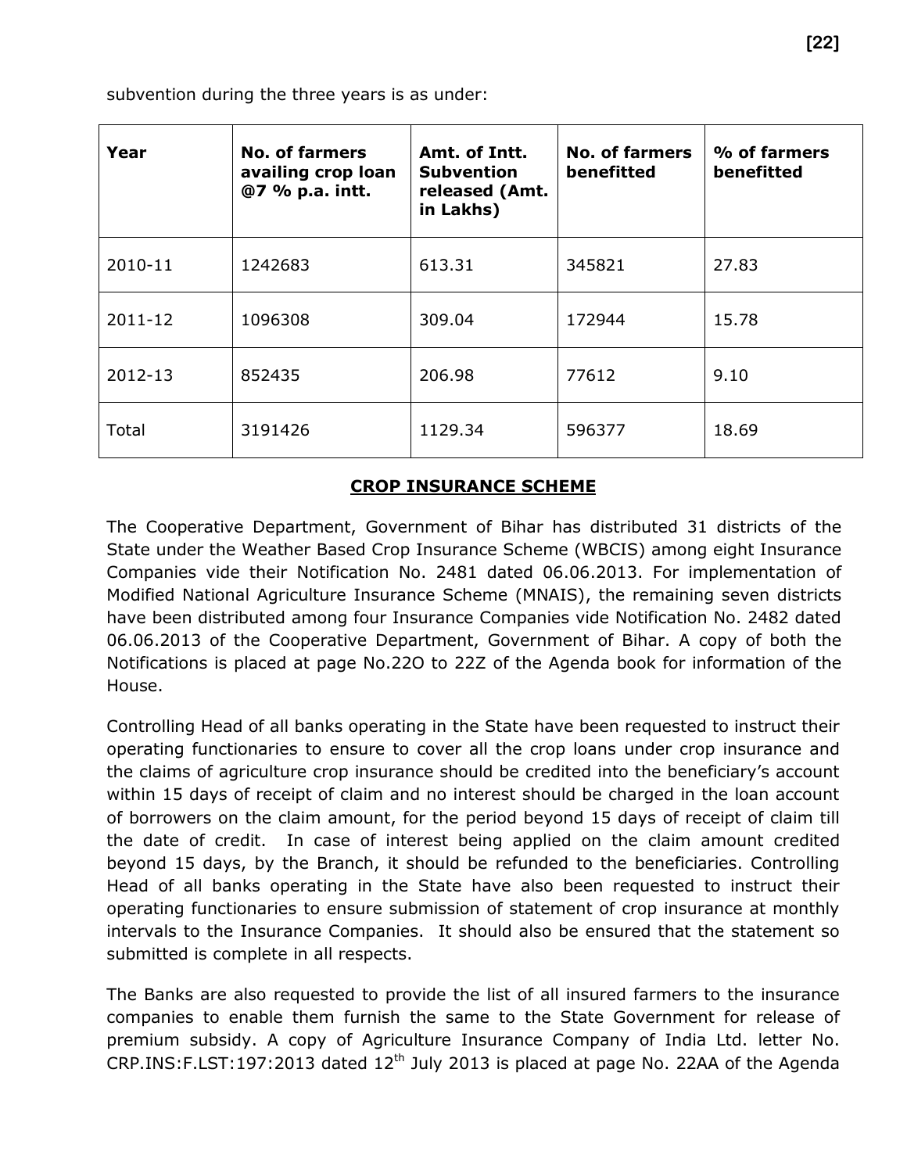subvention during the three years is as under:

| Year    | <b>No. of farmers</b><br>availing crop loan<br>@7 % p.a. intt. | Amt. of Intt.<br><b>Subvention</b><br>released (Amt.<br>in Lakhs) | No. of farmers<br>benefitted | % of farmers<br>benefitted |
|---------|----------------------------------------------------------------|-------------------------------------------------------------------|------------------------------|----------------------------|
| 2010-11 | 1242683                                                        | 613.31                                                            | 345821                       | 27.83                      |
| 2011-12 | 1096308                                                        | 309.04                                                            | 172944                       | 15.78                      |
| 2012-13 | 852435                                                         | 206.98                                                            | 77612                        | 9.10                       |
| Total   | 3191426                                                        | 1129.34                                                           | 596377                       | 18.69                      |

#### **CROP INSURANCE SCHEME**

The Cooperative Department, Government of Bihar has distributed 31 districts of the State under the Weather Based Crop Insurance Scheme (WBCIS) among eight Insurance Companies vide their Notification No. 2481 dated 06.06.2013. For implementation of Modified National Agriculture Insurance Scheme (MNAIS), the remaining seven districts have been distributed among four Insurance Companies vide Notification No. 2482 dated 06.06.2013 of the Cooperative Department, Government of Bihar. A copy of both the Notifications is placed at page No.22O to 22Z of the Agenda book for information of the House.

Controlling Head of all banks operating in the State have been requested to instruct their operating functionaries to ensure to cover all the crop loans under crop insurance and the claims of agriculture crop insurance should be credited into the beneficiary's account within 15 days of receipt of claim and no interest should be charged in the loan account of borrowers on the claim amount, for the period beyond 15 days of receipt of claim till the date of credit. In case of interest being applied on the claim amount credited beyond 15 days, by the Branch, it should be refunded to the beneficiaries. Controlling Head of all banks operating in the State have also been requested to instruct their operating functionaries to ensure submission of statement of crop insurance at monthly intervals to the Insurance Companies. It should also be ensured that the statement so submitted is complete in all respects.

The Banks are also requested to provide the list of all insured farmers to the insurance companies to enable them furnish the same to the State Government for release of premium subsidy. A copy of Agriculture Insurance Company of India Ltd. letter No.  $CRP.INS: F. LST: 197: 2013$  dated  $12<sup>th</sup>$  July 2013 is placed at page No. 22AA of the Agenda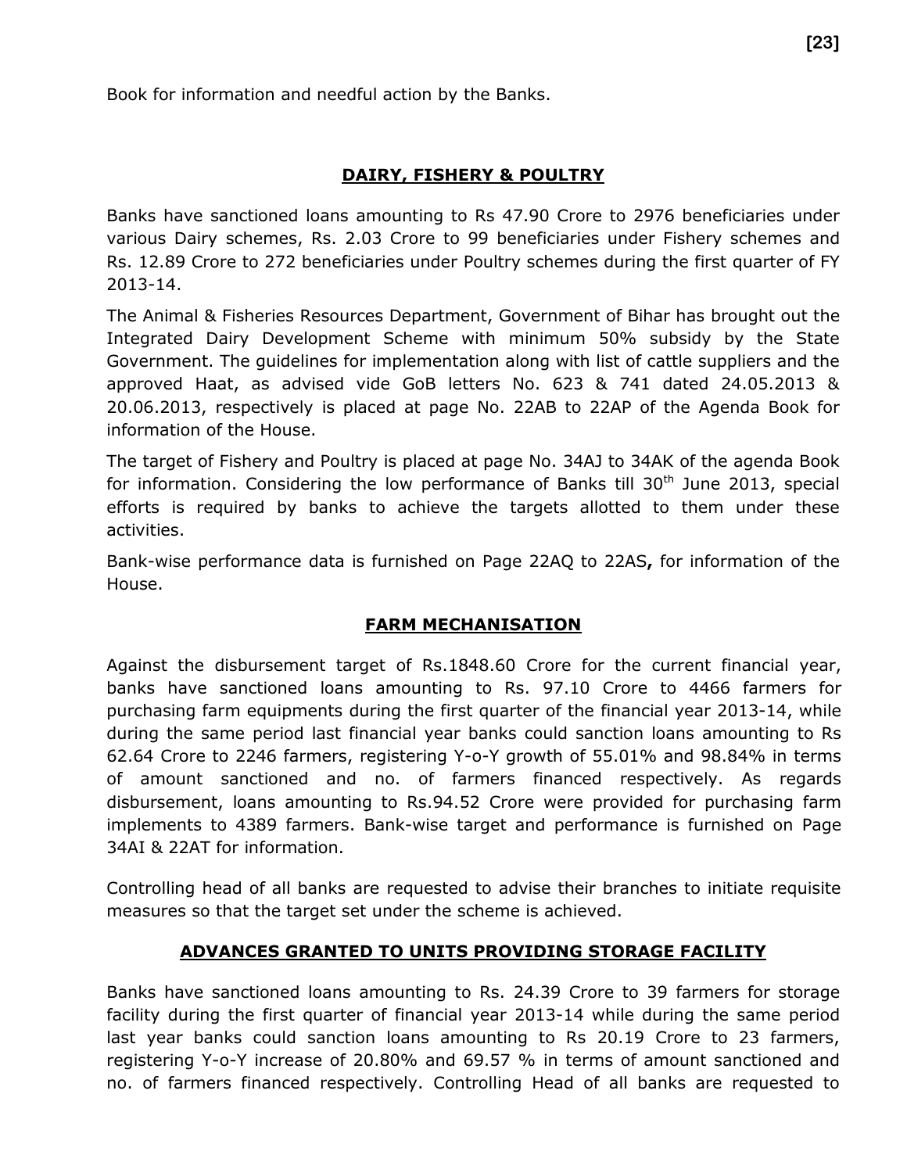Book for information and needful action by the Banks.

#### **DAIRY, FISHERY & POULTRY**

Banks have sanctioned loans amounting to Rs 47.90 Crore to 2976 beneficiaries under various Dairy schemes, Rs. 2.03 Crore to 99 beneficiaries under Fishery schemes and Rs. 12.89 Crore to 272 beneficiaries under Poultry schemes during the first quarter of FY 2013-14.

The Animal & Fisheries Resources Department, Government of Bihar has brought out the Integrated Dairy Development Scheme with minimum 50% subsidy by the State Government. The guidelines for implementation along with list of cattle suppliers and the approved Haat, as advised vide GoB letters No. 623 & 741 dated 24.05.2013 & 20.06.2013, respectively is placed at page No. 22AB to 22AP of the Agenda Book for information of the House.

The target of Fishery and Poultry is placed at page No. 34AJ to 34AK of the agenda Book for information. Considering the low performance of Banks till  $30<sup>th</sup>$  June 2013, special efforts is required by banks to achieve the targets allotted to them under these activities.

Bank-wise performance data is furnished on Page 22AQ to 22AS**,** for information of the House.

#### **FARM MECHANISATION**

Against the disbursement target of Rs.1848.60 Crore for the current financial year, banks have sanctioned loans amounting to Rs. 97.10 Crore to 4466 farmers for purchasing farm equipments during the first quarter of the financial year 2013-14, while during the same period last financial year banks could sanction loans amounting to Rs 62.64 Crore to 2246 farmers, registering Y-o-Y growth of 55.01% and 98.84% in terms of amount sanctioned and no. of farmers financed respectively. As regards disbursement, loans amounting to Rs.94.52 Crore were provided for purchasing farm implements to 4389 farmers. Bank-wise target and performance is furnished on Page 34AI & 22AT for information.

Controlling head of all banks are requested to advise their branches to initiate requisite measures so that the target set under the scheme is achieved.

#### **ADVANCES GRANTED TO UNITS PROVIDING STORAGE FACILITY**

Banks have sanctioned loans amounting to Rs. 24.39 Crore to 39 farmers for storage facility during the first quarter of financial year 2013-14 while during the same period last year banks could sanction loans amounting to Rs 20.19 Crore to 23 farmers, registering Y-o-Y increase of 20.80% and 69.57 % in terms of amount sanctioned and no. of farmers financed respectively. Controlling Head of all banks are requested to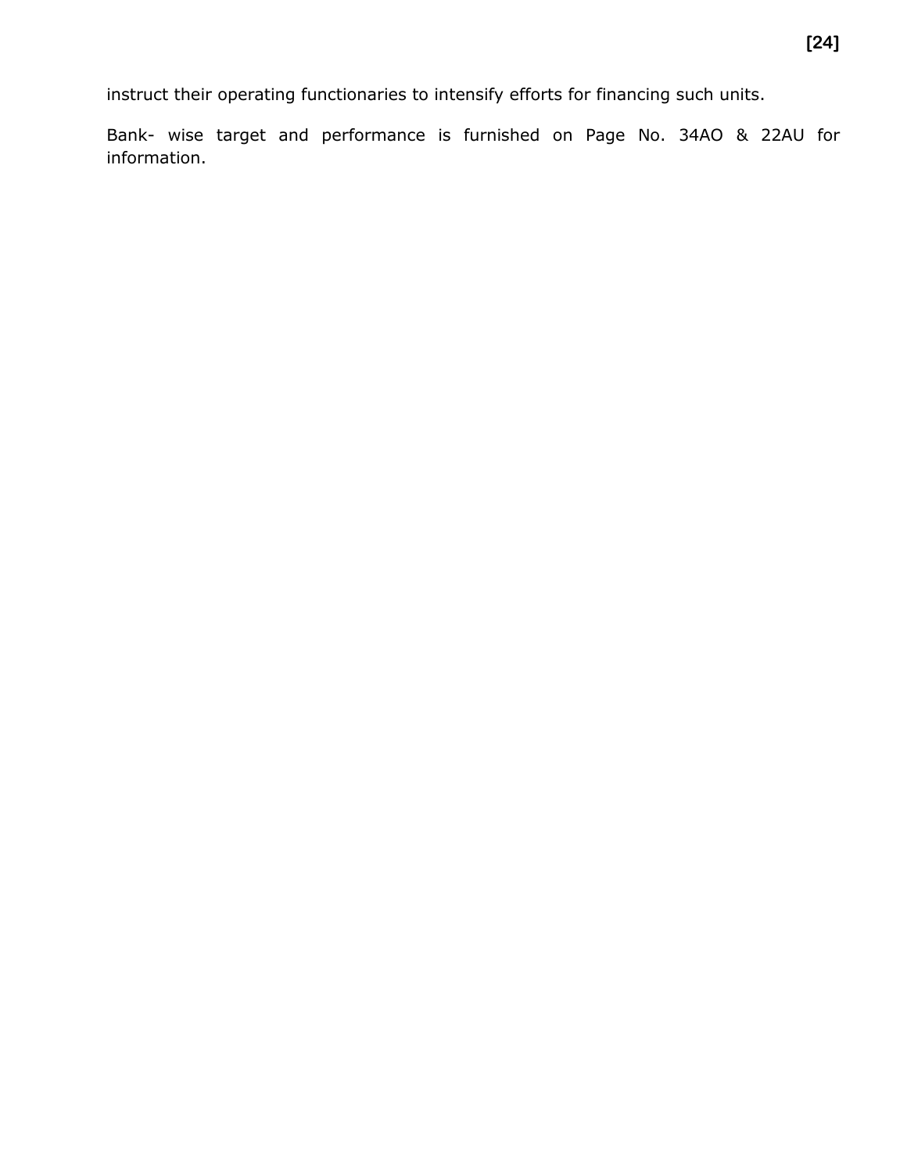instruct their operating functionaries to intensify efforts for financing such units.

Bank- wise target and performance is furnished on Page No. 34AO & 22AU for information.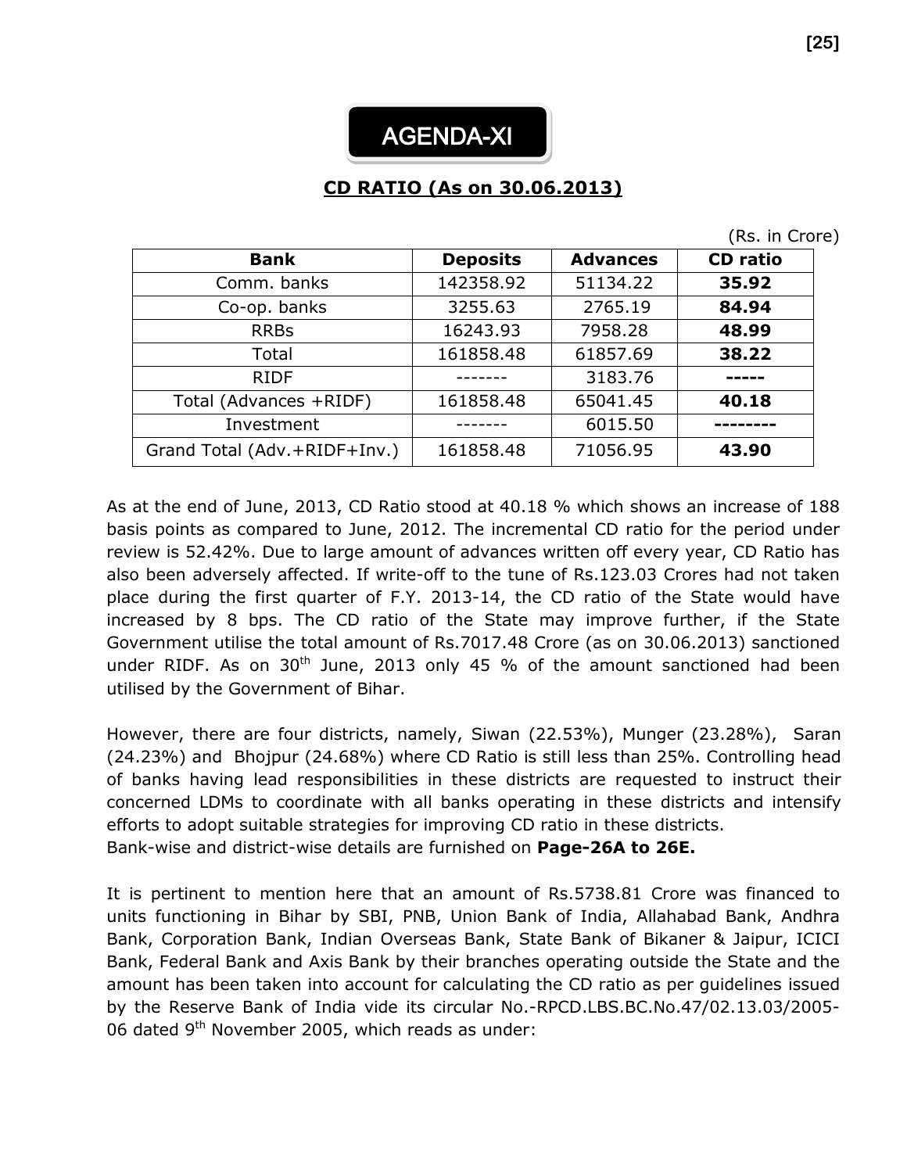

## **CD RATIO (As on 30.06.2013)**

|  |  |  | (Rs. in Crore) |  |
|--|--|--|----------------|--|
|--|--|--|----------------|--|

| <b>Bank</b>                  | <b>Deposits</b> | <b>Advances</b> | <b>CD</b> ratio |
|------------------------------|-----------------|-----------------|-----------------|
| Comm. banks                  | 142358.92       | 51134.22        | 35.92           |
| Co-op. banks                 | 3255.63         | 2765.19         | 84.94           |
| <b>RRBs</b>                  | 16243.93        | 7958.28         | 48.99           |
| Total                        | 161858.48       | 61857.69        | 38.22           |
| <b>RIDF</b>                  |                 | 3183.76         |                 |
| Total (Advances +RIDF)       | 161858.48       | 65041.45        | 40.18           |
| Investment                   |                 | 6015.50         |                 |
| Grand Total (Adv.+RIDF+Inv.) | 161858.48       | 71056.95        | 43.90           |

As at the end of June, 2013, CD Ratio stood at 40.18 % which shows an increase of 188 basis points as compared to June, 2012. The incremental CD ratio for the period under review is 52.42%. Due to large amount of advances written off every year, CD Ratio has also been adversely affected. If write-off to the tune of Rs.123.03 Crores had not taken place during the first quarter of F.Y. 2013-14, the CD ratio of the State would have increased by 8 bps. The CD ratio of the State may improve further, if the State Government utilise the total amount of Rs.7017.48 Crore (as on 30.06.2013) sanctioned under RIDF. As on  $30<sup>th</sup>$  June, 2013 only 45 % of the amount sanctioned had been utilised by the Government of Bihar.

However, there are four districts, namely, Siwan (22.53%), Munger (23.28%), Saran (24.23%) and Bhojpur (24.68%) where CD Ratio is still less than 25%. Controlling head of banks having lead responsibilities in these districts are requested to instruct their concerned LDMs to coordinate with all banks operating in these districts and intensify efforts to adopt suitable strategies for improving CD ratio in these districts. Bank-wise and district-wise details are furnished on **Page-26A to 26E.**

It is pertinent to mention here that an amount of Rs.5738.81 Crore was financed to units functioning in Bihar by SBI, PNB, Union Bank of India, Allahabad Bank, Andhra Bank, Corporation Bank, Indian Overseas Bank, State Bank of Bikaner & Jaipur, ICICI Bank, Federal Bank and Axis Bank by their branches operating outside the State and the amount has been taken into account for calculating the CD ratio as per guidelines issued by the Reserve Bank of India vide its circular No.-RPCD.LBS.BC.No.47/02.13.03/2005- 06 dated 9<sup>th</sup> November 2005, which reads as under: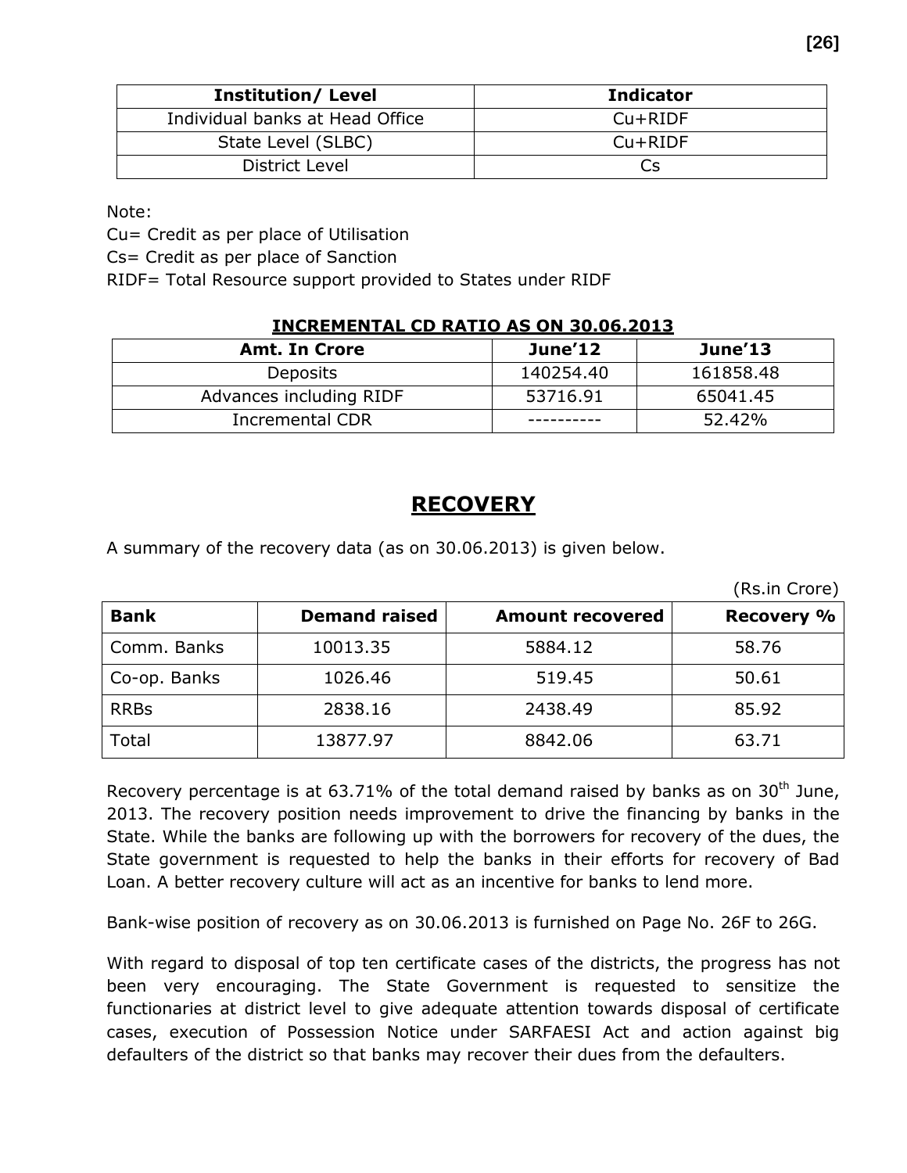| <b>Institution/ Level</b>       | <b>Indicator</b> |
|---------------------------------|------------------|
| Individual banks at Head Office | $Cu+RIDF$        |
| State Level (SLBC)              | $Cu+RIDF$        |
| District Level                  | Cs               |

Note:

Cu= Credit as per place of Utilisation

Cs= Credit as per place of Sanction

RIDF= Total Resource support provided to States under RIDF

#### **INCREMENTAL CD RATIO AS ON 30.06.2013**

| <b>Amt. In Crore</b>    | June'12   | June'13   |
|-------------------------|-----------|-----------|
| Deposits                | 140254.40 | 161858.48 |
| Advances including RIDF | 53716.91  | 65041.45  |
| Incremental CDR         |           | 52.42%    |

#### **RECOVERY**

A summary of the recovery data (as on 30.06.2013) is given below.

(Rs.in Crore)

| <b>Bank</b>  | <b>Demand raised</b> | <b>Amount recovered</b> | <b>Recovery %</b> |
|--------------|----------------------|-------------------------|-------------------|
| Comm. Banks  | 10013.35             | 5884.12                 | 58.76             |
| Co-op. Banks | 1026.46              | 519.45                  | 50.61             |
| <b>RRBs</b>  | 2838.16              | 2438.49                 | 85.92             |
| Total        | 13877.97             | 8842.06                 | 63.71             |

Recovery percentage is at 63.71% of the total demand raised by banks as on 30<sup>th</sup> June, 2013. The recovery position needs improvement to drive the financing by banks in the State. While the banks are following up with the borrowers for recovery of the dues, the State government is requested to help the banks in their efforts for recovery of Bad Loan. A better recovery culture will act as an incentive for banks to lend more.

Bank-wise position of recovery as on 30.06.2013 is furnished on Page No. 26F to 26G.

With regard to disposal of top ten certificate cases of the districts, the progress has not been very encouraging. The State Government is requested to sensitize the functionaries at district level to give adequate attention towards disposal of certificate cases, execution of Possession Notice under SARFAESI Act and action against big defaulters of the district so that banks may recover their dues from the defaulters.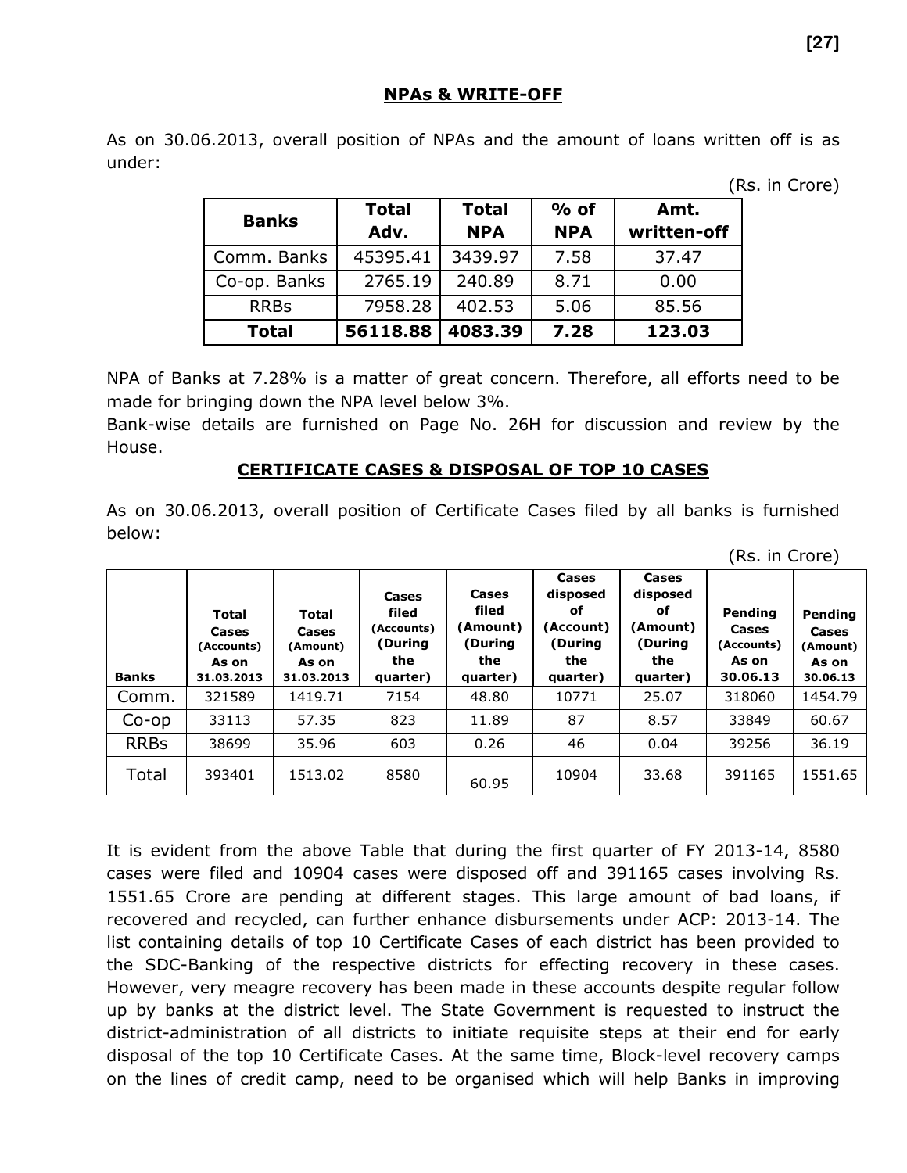#### **NPAs & WRITE-OFF**

As on 30.06.2013, overall position of NPAs and the amount of loans written off is as under:

(Rs. in Crore)

(Rs. in Crore)

| <b>Banks</b> | <b>Total</b><br>Adv. | <b>Total</b><br><b>NPA</b> | $%$ of<br><b>NPA</b> | Amt.<br>written-off |
|--------------|----------------------|----------------------------|----------------------|---------------------|
| Comm. Banks  | 45395.41             | 3439.97                    | 7.58                 | 37.47               |
| Co-op. Banks | 2765.19              | 240.89                     | 8.71                 | 0.00                |
| <b>RRBs</b>  | 7958.28              | 402.53                     | 5.06                 | 85.56               |
| <b>Total</b> | 56118.88             | 4083.39                    | 7.28                 | 123.03              |

NPA of Banks at 7.28% is a matter of great concern. Therefore, all efforts need to be made for bringing down the NPA level below 3%.

Bank-wise details are furnished on Page No. 26H for discussion and review by the House.

#### **CERTIFICATE CASES & DISPOSAL OF TOP 10 CASES**

As on 30.06.2013, overall position of Certificate Cases filed by all banks is furnished below:

| <b>Banks</b> | <b>Total</b><br>Cases<br>(Accounts)<br>As on<br>31.03.2013 | <b>Total</b><br>Cases<br>(Amount)<br>As on<br>31.03.2013 | Cases<br>filed<br>(Accounts)<br>(During<br>the<br>quarter) | Cases<br>filed<br>(Amount)<br>(During<br>the<br>quarter) | Cases<br>disposed<br>оf<br>(Account)<br>(During<br>the<br>quarter) | Cases<br>disposed<br>оf<br>(Amount)<br>(During<br>the<br>quarter) | Pending<br><b>Cases</b><br>(Accounts)<br>As on<br>30.06.13 | Pending<br>Cases<br>(Amount)<br>As on<br>30.06.13 |
|--------------|------------------------------------------------------------|----------------------------------------------------------|------------------------------------------------------------|----------------------------------------------------------|--------------------------------------------------------------------|-------------------------------------------------------------------|------------------------------------------------------------|---------------------------------------------------|
| Comm.        | 321589                                                     | 1419.71                                                  | 7154                                                       | 48.80                                                    | 10771                                                              | 25.07                                                             | 318060                                                     | 1454.79                                           |
| $Co$ -op     | 33113                                                      | 57.35                                                    | 823                                                        | 11.89                                                    | 87                                                                 | 8.57                                                              | 33849                                                      | 60.67                                             |
| <b>RRBs</b>  | 38699                                                      | 35.96                                                    | 603                                                        | 0.26                                                     | 46                                                                 | 0.04                                                              | 39256                                                      | 36.19                                             |
| Total        | 393401                                                     | 1513.02                                                  | 8580                                                       | 60.95                                                    | 10904                                                              | 33.68                                                             | 391165                                                     | 1551.65                                           |

It is evident from the above Table that during the first quarter of FY 2013-14, 8580 cases were filed and 10904 cases were disposed off and 391165 cases involving Rs. 1551.65 Crore are pending at different stages. This large amount of bad loans, if recovered and recycled, can further enhance disbursements under ACP: 2013-14. The list containing details of top 10 Certificate Cases of each district has been provided to the SDC-Banking of the respective districts for effecting recovery in these cases. However, very meagre recovery has been made in these accounts despite regular follow up by banks at the district level. The State Government is requested to instruct the district-administration of all districts to initiate requisite steps at their end for early disposal of the top 10 Certificate Cases. At the same time, Block-level recovery camps on the lines of credit camp, need to be organised which will help Banks in improving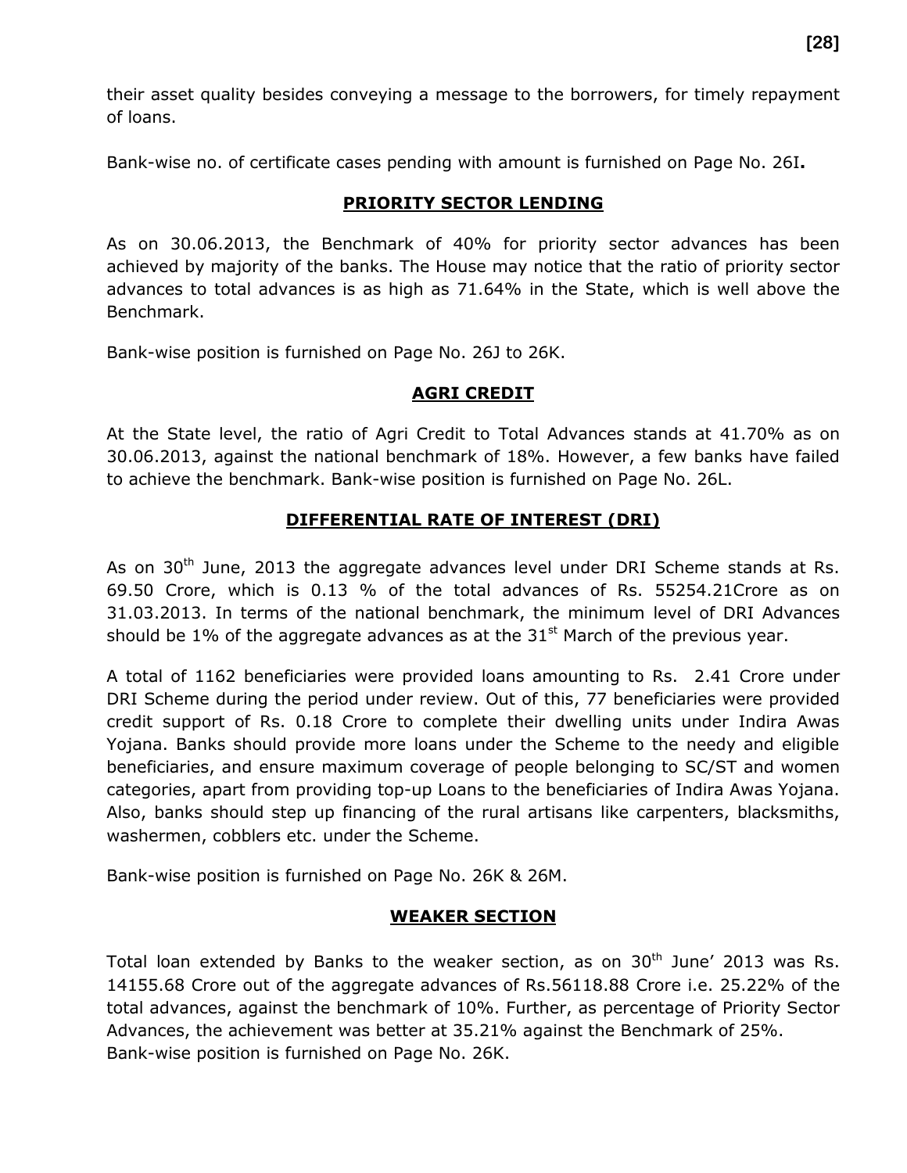their asset quality besides conveying a message to the borrowers, for timely repayment of loans.

Bank-wise no. of certificate cases pending with amount is furnished on Page No. 26I**.**

#### **PRIORITY SECTOR LENDING**

As on 30.06.2013, the Benchmark of 40% for priority sector advances has been achieved by majority of the banks. The House may notice that the ratio of priority sector advances to total advances is as high as 71.64% in the State, which is well above the Benchmark.

Bank-wise position is furnished on Page No. 26J to 26K.

#### **AGRI CREDIT**

At the State level, the ratio of Agri Credit to Total Advances stands at 41.70% as on 30.06.2013, against the national benchmark of 18%. However, a few banks have failed to achieve the benchmark. Bank-wise position is furnished on Page No. 26L.

#### **DIFFERENTIAL RATE OF INTEREST (DRI)**

As on  $30<sup>th</sup>$  June, 2013 the aggregate advances level under DRI Scheme stands at Rs. 69.50 Crore, which is 0.13 % of the total advances of Rs. 55254.21Crore as on 31.03.2013. In terms of the national benchmark, the minimum level of DRI Advances should be 1% of the aggregate advances as at the  $31<sup>st</sup>$  March of the previous year.

A total of 1162 beneficiaries were provided loans amounting to Rs. 2.41 Crore under DRI Scheme during the period under review. Out of this, 77 beneficiaries were provided credit support of Rs. 0.18 Crore to complete their dwelling units under Indira Awas Yojana. Banks should provide more loans under the Scheme to the needy and eligible beneficiaries, and ensure maximum coverage of people belonging to SC/ST and women categories, apart from providing top-up Loans to the beneficiaries of Indira Awas Yojana. Also, banks should step up financing of the rural artisans like carpenters, blacksmiths, washermen, cobblers etc. under the Scheme.

Bank-wise position is furnished on Page No. 26K & 26M.

#### **WEAKER SECTION**

Total loan extended by Banks to the weaker section, as on  $30<sup>th</sup>$  June' 2013 was Rs. 14155.68 Crore out of the aggregate advances of Rs.56118.88 Crore i.e. 25.22% of the total advances, against the benchmark of 10%. Further, as percentage of Priority Sector Advances, the achievement was better at 35.21% against the Benchmark of 25%. Bank-wise position is furnished on Page No. 26K.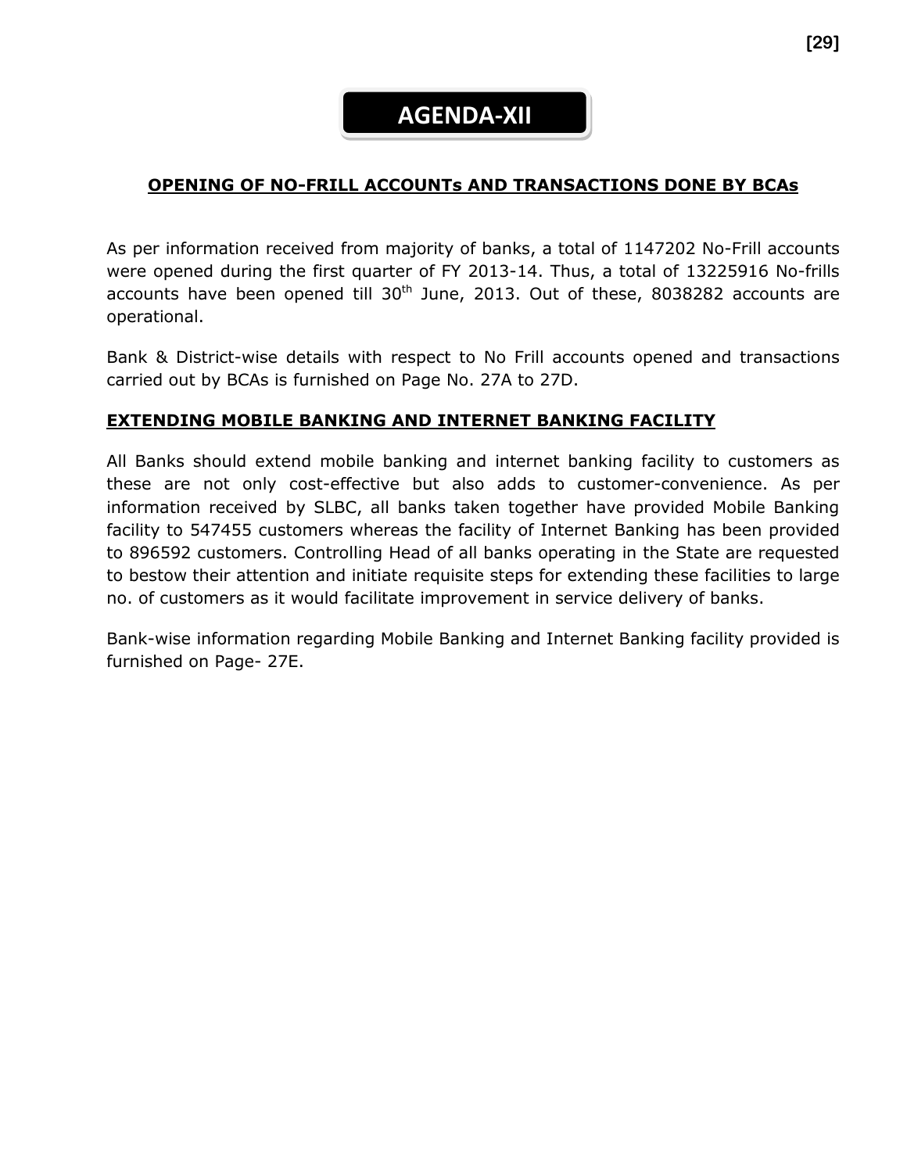## **AGENDA-XII**

#### **OPENING OF NO-FRILL ACCOUNTs AND TRANSACTIONS DONE BY BCAs**

As per information received from majority of banks, a total of 1147202 No-Frill accounts were opened during the first quarter of FY 2013-14. Thus, a total of 13225916 No-frills accounts have been opened till  $30<sup>th</sup>$  June, 2013. Out of these, 8038282 accounts are operational.

Bank & District-wise details with respect to No Frill accounts opened and transactions carried out by BCAs is furnished on Page No. 27A to 27D.

#### **EXTENDING MOBILE BANKING AND INTERNET BANKING FACILITY**

All Banks should extend mobile banking and internet banking facility to customers as these are not only cost-effective but also adds to customer-convenience. As per information received by SLBC, all banks taken together have provided Mobile Banking facility to 547455 customers whereas the facility of Internet Banking has been provided to 896592 customers. Controlling Head of all banks operating in the State are requested to bestow their attention and initiate requisite steps for extending these facilities to large no. of customers as it would facilitate improvement in service delivery of banks.

Bank-wise information regarding Mobile Banking and Internet Banking facility provided is furnished on Page- 27E.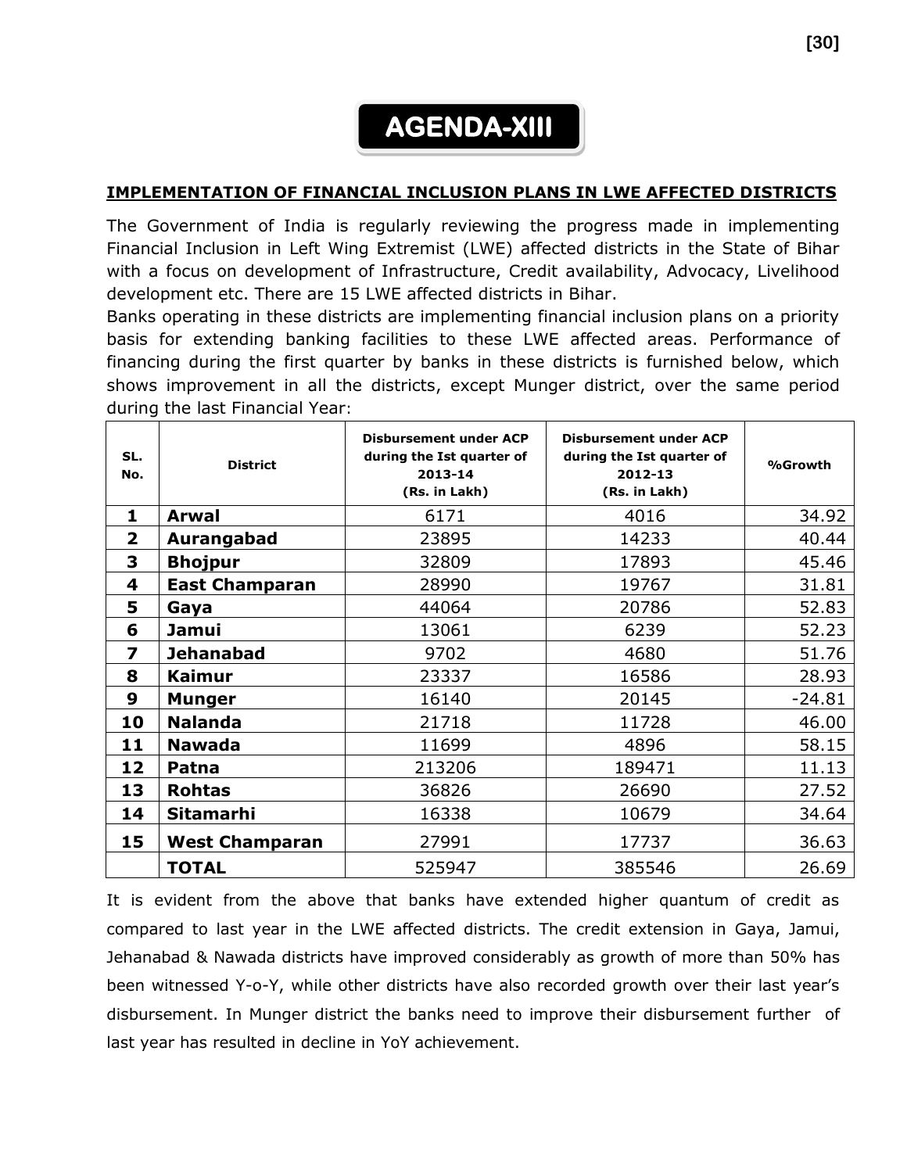## **AGENDA-XIII**

#### **IMPLEMENTATION OF FINANCIAL INCLUSION PLANS IN LWE AFFECTED DISTRICTS**

The Government of India is regularly reviewing the progress made in implementing Financial Inclusion in Left Wing Extremist (LWE) affected districts in the State of Bihar with a focus on development of Infrastructure, Credit availability, Advocacy, Livelihood development etc. There are 15 LWE affected districts in Bihar.

Banks operating in these districts are implementing financial inclusion plans on a priority basis for extending banking facilities to these LWE affected areas. Performance of financing during the first quarter by banks in these districts is furnished below, which shows improvement in all the districts, except Munger district, over the same period during the last Financial Year:

| SL.<br>No.     | <b>District</b>       | <b>Disbursement under ACP</b><br>during the Ist quarter of<br>2013-14<br>(Rs. in Lakh) | <b>Disbursement under ACP</b><br>during the Ist quarter of<br>2012-13<br>(Rs. in Lakh) | %Growth  |
|----------------|-----------------------|----------------------------------------------------------------------------------------|----------------------------------------------------------------------------------------|----------|
| 1              | <b>Arwal</b>          | 6171                                                                                   | 4016                                                                                   | 34.92    |
| $\overline{2}$ | Aurangabad            | 23895                                                                                  | 14233                                                                                  | 40.44    |
| 3              | <b>Bhojpur</b>        | 32809                                                                                  | 17893                                                                                  | 45.46    |
| 4              | <b>East Champaran</b> | 28990                                                                                  | 19767                                                                                  | 31.81    |
| 5              | Gaya                  | 44064                                                                                  | 20786                                                                                  | 52.83    |
| 6              | <b>Jamui</b>          | 13061                                                                                  | 6239                                                                                   | 52.23    |
| 7              | <b>Jehanabad</b>      | 9702                                                                                   | 4680                                                                                   | 51.76    |
| 8              | <b>Kaimur</b>         | 23337                                                                                  | 16586                                                                                  | 28.93    |
| 9              | <b>Munger</b>         | 16140                                                                                  | 20145                                                                                  | $-24.81$ |
| 10             | <b>Nalanda</b>        | 21718                                                                                  | 11728                                                                                  | 46.00    |
| 11             | <b>Nawada</b>         | 11699                                                                                  | 4896                                                                                   | 58.15    |
| 12             | Patna                 | 213206                                                                                 | 189471                                                                                 | 11.13    |
| 13             | <b>Rohtas</b>         | 36826                                                                                  | 26690                                                                                  | 27.52    |
| 14             | <b>Sitamarhi</b>      | 16338                                                                                  | 10679                                                                                  | 34.64    |
| 15             | <b>West Champaran</b> | 27991                                                                                  | 17737                                                                                  | 36.63    |
|                | <b>TOTAL</b>          | 525947                                                                                 | 385546                                                                                 | 26.69    |

It is evident from the above that banks have extended higher quantum of credit as compared to last year in the LWE affected districts. The credit extension in Gaya, Jamui, Jehanabad & Nawada districts have improved considerably as growth of more than 50% has been witnessed Y-o-Y, while other districts have also recorded growth over their last year's disbursement. In Munger district the banks need to improve their disbursement further of last year has resulted in decline in YoY achievement.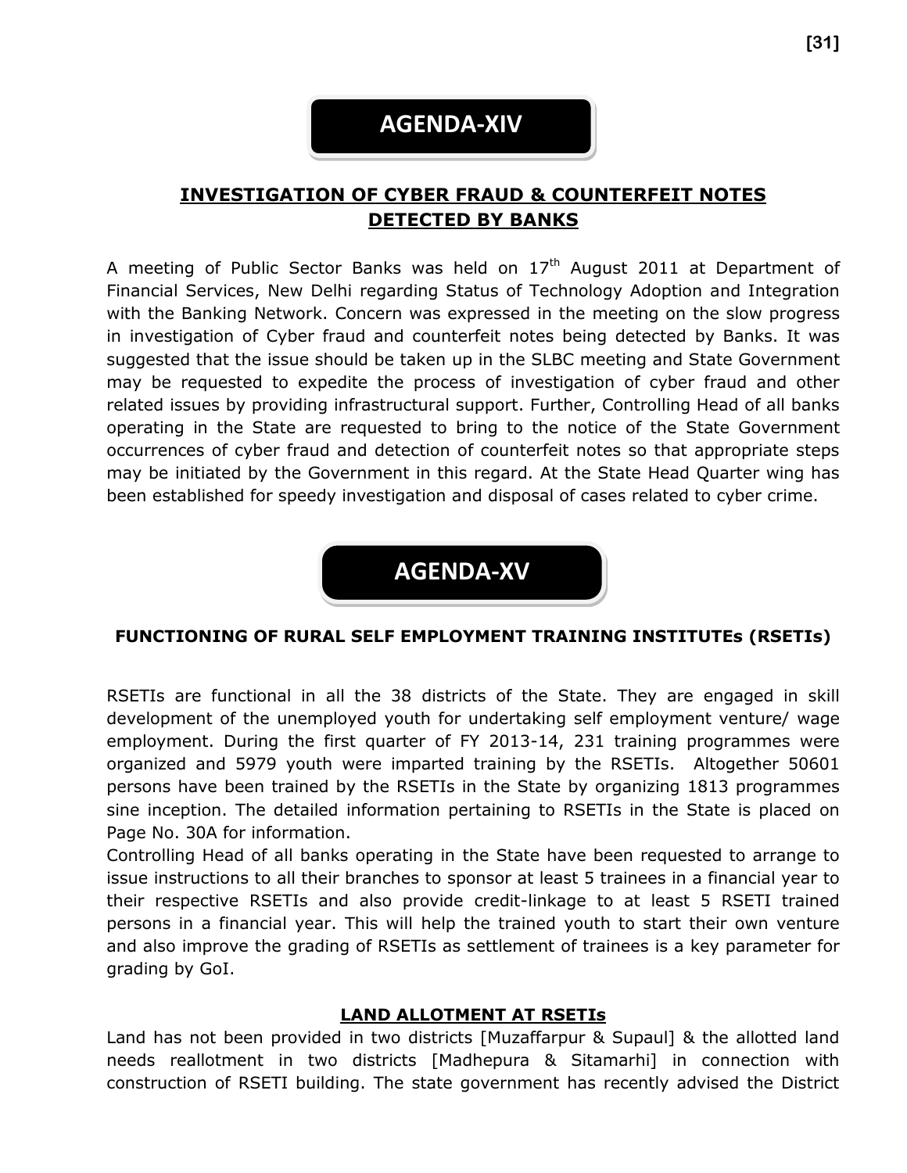### **AGENDA-XIV**

#### **INVESTIGATION OF CYBER FRAUD & COUNTERFEIT NOTES DETECTED BY BANKS**

A meeting of Public Sector Banks was held on  $17<sup>th</sup>$  August 2011 at Department of Financial Services, New Delhi regarding Status of Technology Adoption and Integration with the Banking Network. Concern was expressed in the meeting on the slow progress in investigation of Cyber fraud and counterfeit notes being detected by Banks. It was suggested that the issue should be taken up in the SLBC meeting and State Government may be requested to expedite the process of investigation of cyber fraud and other related issues by providing infrastructural support. Further, Controlling Head of all banks operating in the State are requested to bring to the notice of the State Government occurrences of cyber fraud and detection of counterfeit notes so that appropriate steps may be initiated by the Government in this regard. At the State Head Quarter wing has been established for speedy investigation and disposal of cases related to cyber crime.



#### **FUNCTIONING OF RURAL SELF EMPLOYMENT TRAINING INSTITUTEs (RSETIs)**

RSETIs are functional in all the 38 districts of the State. They are engaged in skill development of the unemployed youth for undertaking self employment venture/ wage employment. During the first quarter of FY 2013-14, 231 training programmes were organized and 5979 youth were imparted training by the RSETIs. Altogether 50601 persons have been trained by the RSETIs in the State by organizing 1813 programmes sine inception. The detailed information pertaining to RSETIs in the State is placed on Page No. 30A for information.

Controlling Head of all banks operating in the State have been requested to arrange to issue instructions to all their branches to sponsor at least 5 trainees in a financial year to their respective RSETIs and also provide credit-linkage to at least 5 RSETI trained persons in a financial year. This will help the trained youth to start their own venture and also improve the grading of RSETIs as settlement of trainees is a key parameter for grading by GoI.

#### **LAND ALLOTMENT AT RSETIs**

Land has not been provided in two districts [Muzaffarpur & Supaul] & the allotted land needs reallotment in two districts [Madhepura & Sitamarhi] in connection with construction of RSETI building. The state government has recently advised the District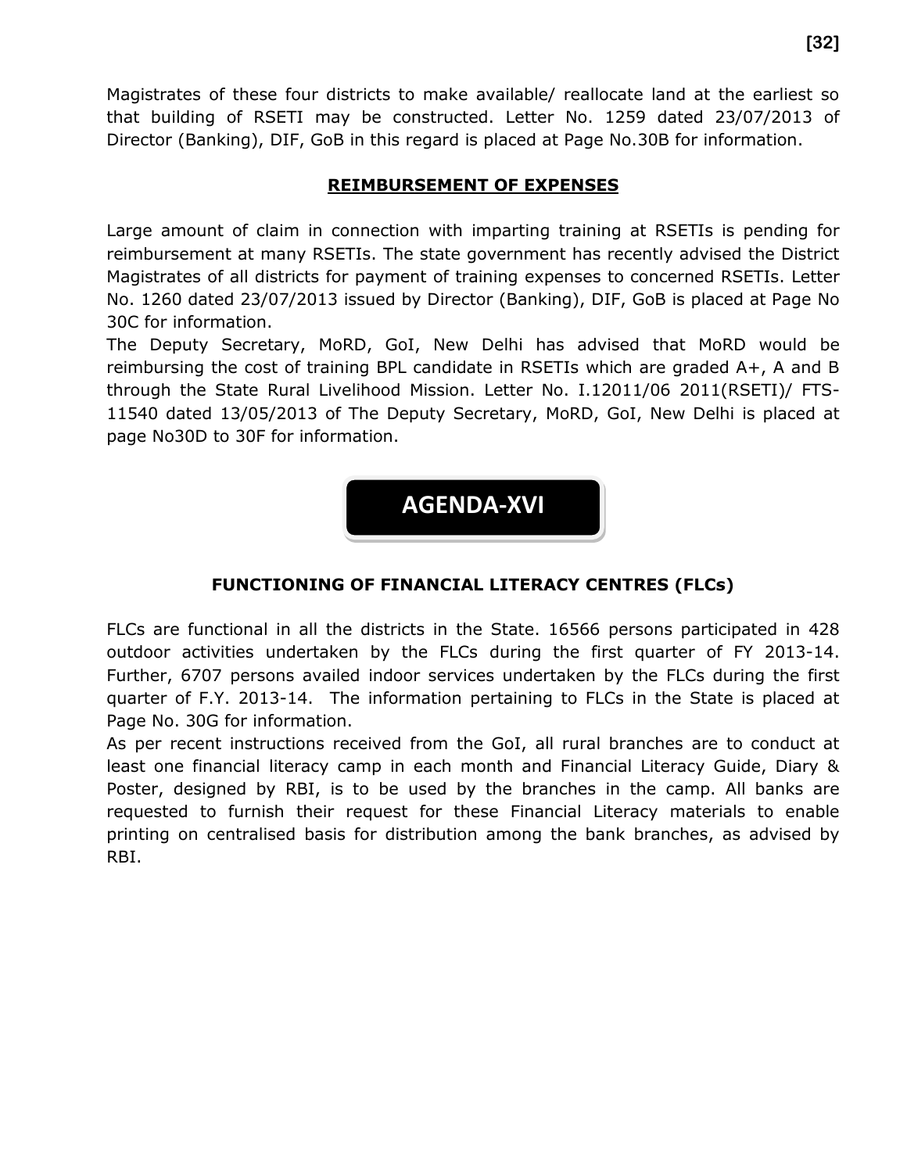Magistrates of these four districts to make available/ reallocate land at the earliest so that building of RSETI may be constructed. Letter No. 1259 dated 23/07/2013 of Director (Banking), DIF, GoB in this regard is placed at Page No.30B for information.

#### **REIMBURSEMENT OF EXPENSES**

Large amount of claim in connection with imparting training at RSETIs is pending for reimbursement at many RSETIs. The state government has recently advised the District Magistrates of all districts for payment of training expenses to concerned RSETIs. Letter No. 1260 dated 23/07/2013 issued by Director (Banking), DIF, GoB is placed at Page No 30C for information.

The Deputy Secretary, MoRD, GoI, New Delhi has advised that MoRD would be reimbursing the cost of training BPL candidate in RSETIs which are graded A+, A and B through the State Rural Livelihood Mission. Letter No. I.12011/06 2011(RSETI)/ FTS-11540 dated 13/05/2013 of The Deputy Secretary, MoRD, GoI, New Delhi is placed at page No30D to 30F for information.

**AGENDA-XVI**

#### **FUNCTIONING OF FINANCIAL LITERACY CENTRES (FLCs)**

FLCs are functional in all the districts in the State. 16566 persons participated in 428 outdoor activities undertaken by the FLCs during the first quarter of FY 2013-14. Further, 6707 persons availed indoor services undertaken by the FLCs during the first quarter of F.Y. 2013-14. The information pertaining to FLCs in the State is placed at Page No. 30G for information.

As per recent instructions received from the GoI, all rural branches are to conduct at least one financial literacy camp in each month and Financial Literacy Guide, Diary & Poster, designed by RBI, is to be used by the branches in the camp. All banks are requested to furnish their request for these Financial Literacy materials to enable printing on centralised basis for distribution among the bank branches, as advised by RBI.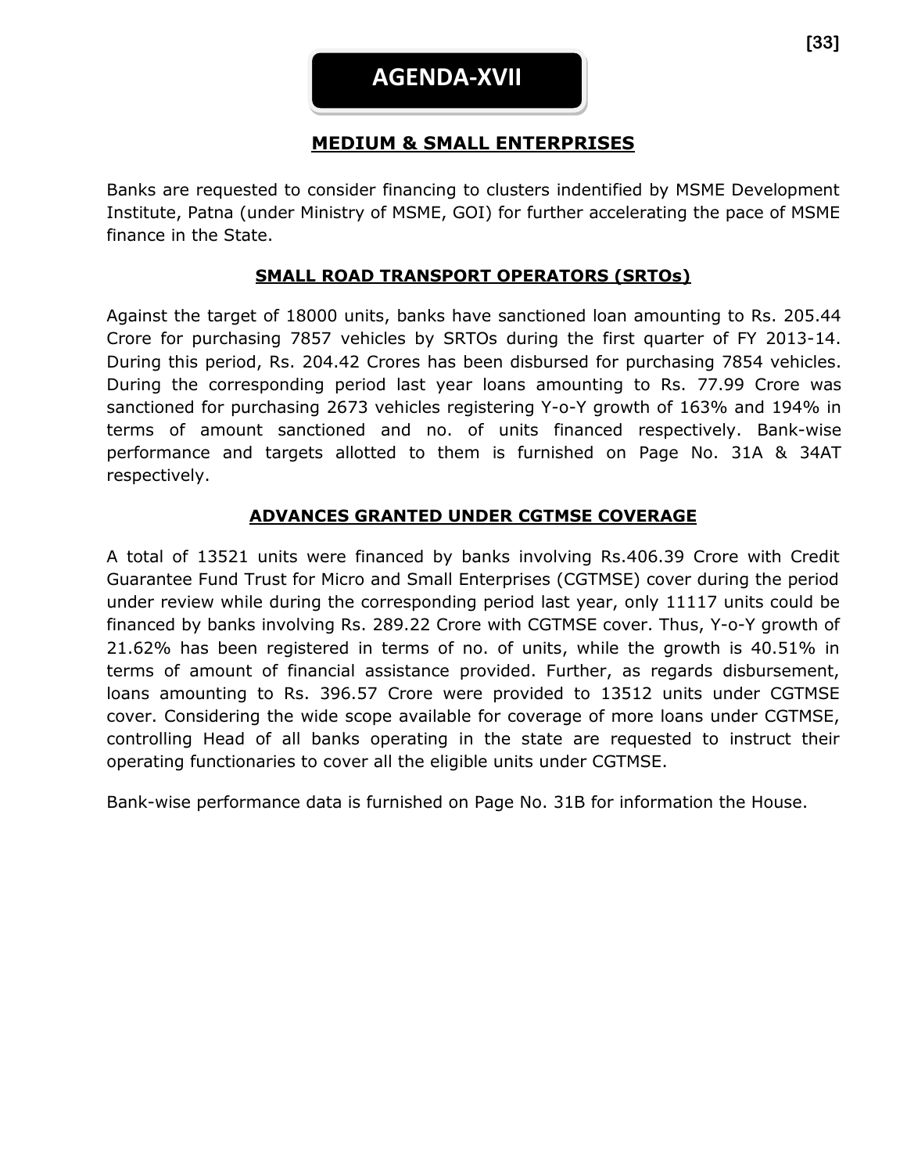#### **MEDIUM & SMALL ENTERPRISES**

Banks are requested to consider financing to clusters indentified by MSME Development Institute, Patna (under Ministry of MSME, GOI) for further accelerating the pace of MSME finance in the State.

#### **SMALL ROAD TRANSPORT OPERATORS (SRTOs)**

Against the target of 18000 units, banks have sanctioned loan amounting to Rs. 205.44 Crore for purchasing 7857 vehicles by SRTOs during the first quarter of FY 2013-14. During this period, Rs. 204.42 Crores has been disbursed for purchasing 7854 vehicles. During the corresponding period last year loans amounting to Rs. 77.99 Crore was sanctioned for purchasing 2673 vehicles registering Y-o-Y growth of 163% and 194% in terms of amount sanctioned and no. of units financed respectively. Bank-wise performance and targets allotted to them is furnished on Page No. 31A & 34AT respectively.

#### **ADVANCES GRANTED UNDER CGTMSE COVERAGE**

A total of 13521 units were financed by banks involving Rs.406.39 Crore with Credit Guarantee Fund Trust for Micro and Small Enterprises (CGTMSE) cover during the period under review while during the corresponding period last year, only 11117 units could be financed by banks involving Rs. 289.22 Crore with CGTMSE cover. Thus, Y-o-Y growth of 21.62% has been registered in terms of no. of units, while the growth is 40.51% in terms of amount of financial assistance provided. Further, as regards disbursement, loans amounting to Rs. 396.57 Crore were provided to 13512 units under CGTMSE cover. Considering the wide scope available for coverage of more loans under CGTMSE, controlling Head of all banks operating in the state are requested to instruct their operating functionaries to cover all the eligible units under CGTMSE.

Bank-wise performance data is furnished on Page No. 31B for information the House.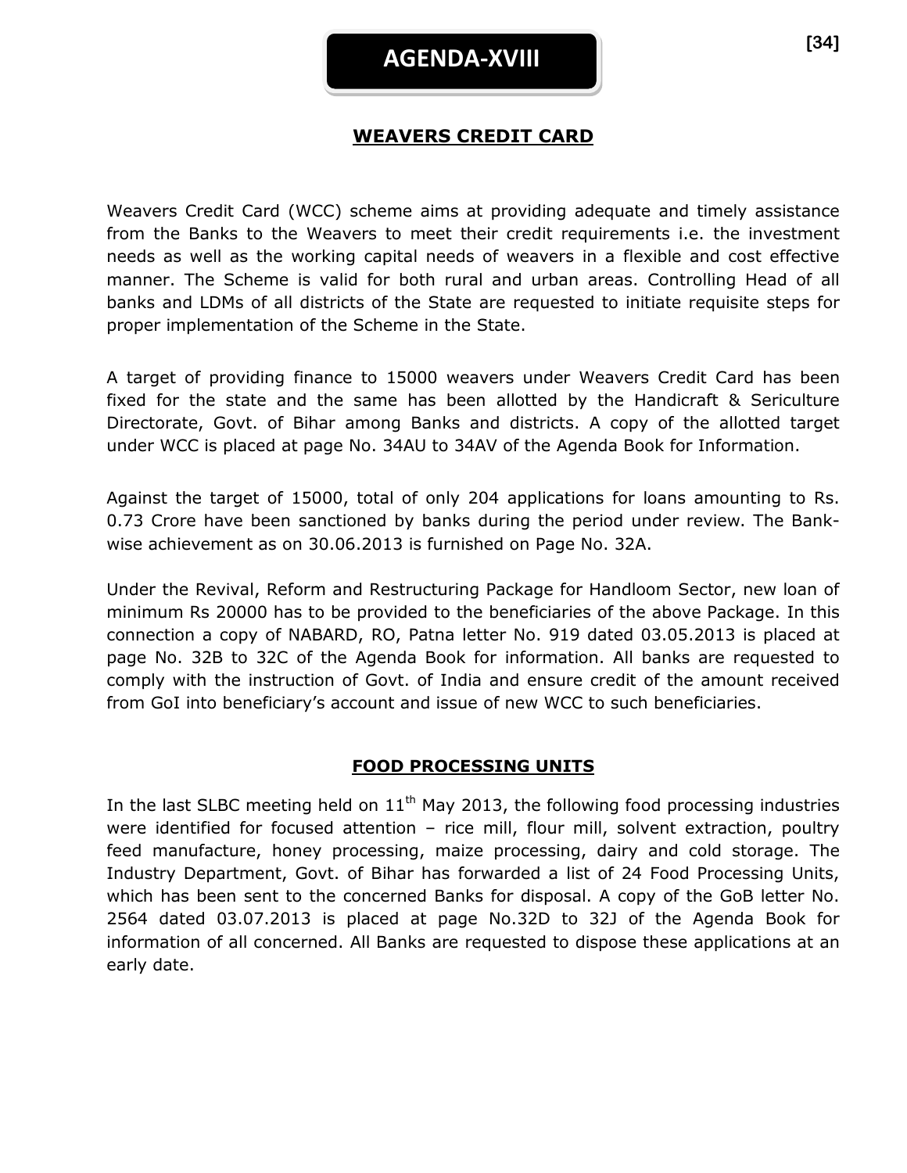#### **WEAVERS CREDIT CARD**

Weavers Credit Card (WCC) scheme aims at providing adequate and timely assistance from the Banks to the Weavers to meet their credit requirements i.e. the investment needs as well as the working capital needs of weavers in a flexible and cost effective manner. The Scheme is valid for both rural and urban areas. Controlling Head of all banks and LDMs of all districts of the State are requested to initiate requisite steps for proper implementation of the Scheme in the State.

A target of providing finance to 15000 weavers under Weavers Credit Card has been fixed for the state and the same has been allotted by the Handicraft & Sericulture Directorate, Govt. of Bihar among Banks and districts. A copy of the allotted target under WCC is placed at page No. 34AU to 34AV of the Agenda Book for Information.

Against the target of 15000, total of only 204 applications for loans amounting to Rs. 0.73 Crore have been sanctioned by banks during the period under review. The Bankwise achievement as on 30.06.2013 is furnished on Page No. 32A.

Under the Revival, Reform and Restructuring Package for Handloom Sector, new loan of minimum Rs 20000 has to be provided to the beneficiaries of the above Package. In this connection a copy of NABARD, RO, Patna letter No. 919 dated 03.05.2013 is placed at page No. 32B to 32C of the Agenda Book for information. All banks are requested to comply with the instruction of Govt. of India and ensure credit of the amount received from GoI into beneficiary's account and issue of new WCC to such beneficiaries.

#### **FOOD PROCESSING UNITS**

In the last SLBC meeting held on  $11<sup>th</sup>$  May 2013, the following food processing industries were identified for focused attention - rice mill, flour mill, solvent extraction, poultry feed manufacture, honey processing, maize processing, dairy and cold storage. The Industry Department, Govt. of Bihar has forwarded a list of 24 Food Processing Units, which has been sent to the concerned Banks for disposal. A copy of the GoB letter No. 2564 dated 03.07.2013 is placed at page No.32D to 32J of the Agenda Book for information of all concerned. All Banks are requested to dispose these applications at an early date.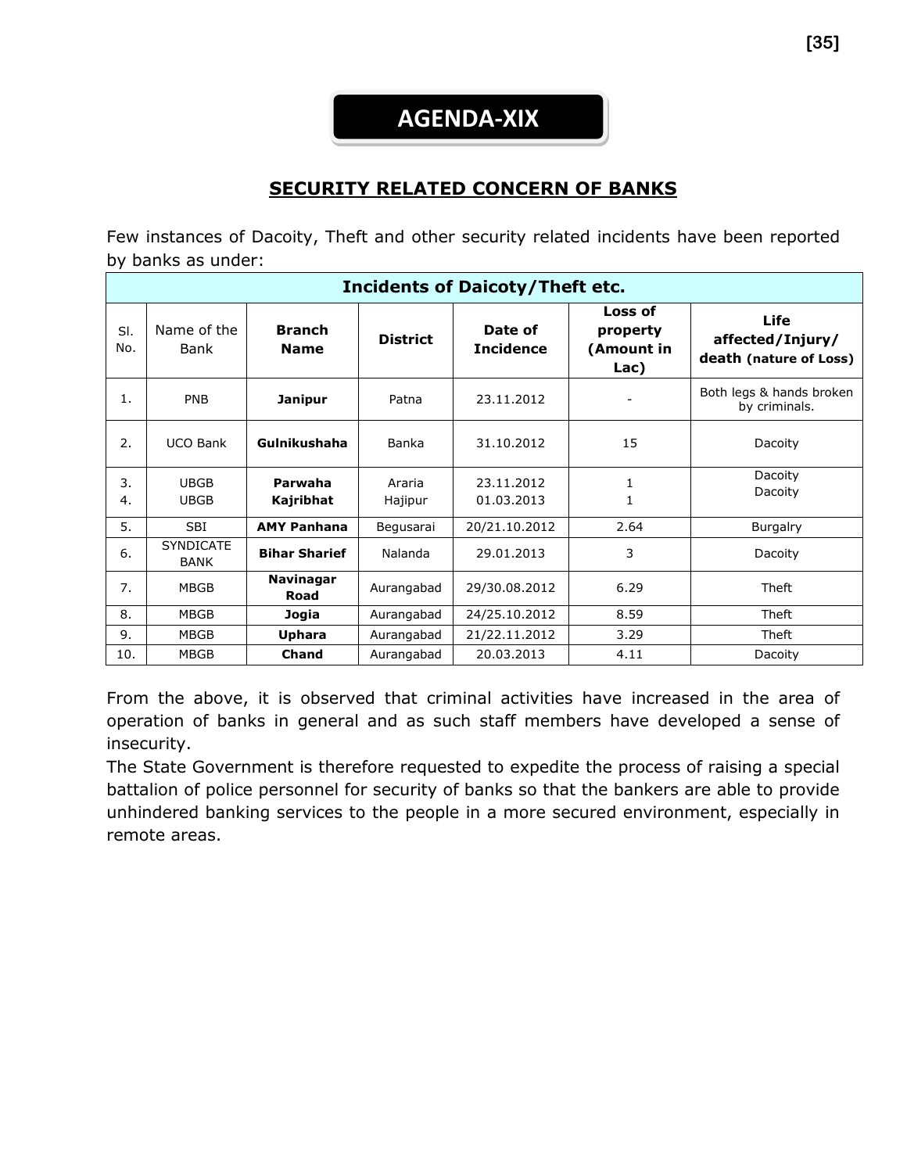## **AGENDA-XIX**

#### **SECURITY RELATED CONCERN OF BANKS**

Few instances of Dacoity, Theft and other security related incidents have been reported by banks as under:

| <b>Incidents of Daicoty/Theft etc.</b> |                                 |                              |                   |                             |                                           |                                                    |
|----------------------------------------|---------------------------------|------------------------------|-------------------|-----------------------------|-------------------------------------------|----------------------------------------------------|
| SI.<br>No.                             | Name of the<br>Bank             | <b>Branch</b><br><b>Name</b> | <b>District</b>   | Date of<br><b>Incidence</b> | Loss of<br>property<br>(Amount in<br>Lac) | Life<br>affected/Injury/<br>death (nature of Loss) |
| 1.                                     | <b>PNB</b>                      | Janipur                      | Patna             | 23.11.2012                  |                                           | Both legs & hands broken<br>by criminals.          |
| 2.                                     | <b>UCO Bank</b>                 | Gulnikushaha                 | Banka             | 31.10.2012                  | 15                                        | Dacoity                                            |
| 3.<br>4.                               | <b>UBGB</b><br><b>UBGB</b>      | Parwaha<br>Kajribhat         | Araria<br>Hajipur | 23.11.2012<br>01.03.2013    | 1<br>$\mathbf{1}$                         | Dacoity<br>Dacoity                                 |
| 5.                                     | SBI.                            | <b>AMY Panhana</b>           | Begusarai         | 20/21.10.2012               | 2.64                                      | <b>Burgalry</b>                                    |
| 6.                                     | <b>SYNDICATE</b><br><b>BANK</b> | <b>Bihar Sharief</b>         | Nalanda           | 29.01.2013                  | 3                                         | Dacoity                                            |
| 7.                                     | <b>MBGB</b>                     | <b>Navinagar</b><br>Road     | Aurangabad        | 29/30.08.2012               | 6.29                                      | Theft                                              |
| 8.                                     | <b>MBGB</b>                     | Jogia                        | Aurangabad        | 24/25.10.2012               | 8.59                                      | Theft                                              |
| 9.                                     | <b>MBGB</b>                     | Uphara                       | Aurangabad        | 21/22.11.2012               | 3.29                                      | Theft                                              |
| 10.                                    | <b>MBGB</b>                     | <b>Chand</b>                 | Aurangabad        | 20.03.2013                  | 4.11                                      | Dacoity                                            |

From the above, it is observed that criminal activities have increased in the area of operation of banks in general and as such staff members have developed a sense of insecurity.

The State Government is therefore requested to expedite the process of raising a special battalion of police personnel for security of banks so that the bankers are able to provide unhindered banking services to the people in a more secured environment, especially in remote areas.